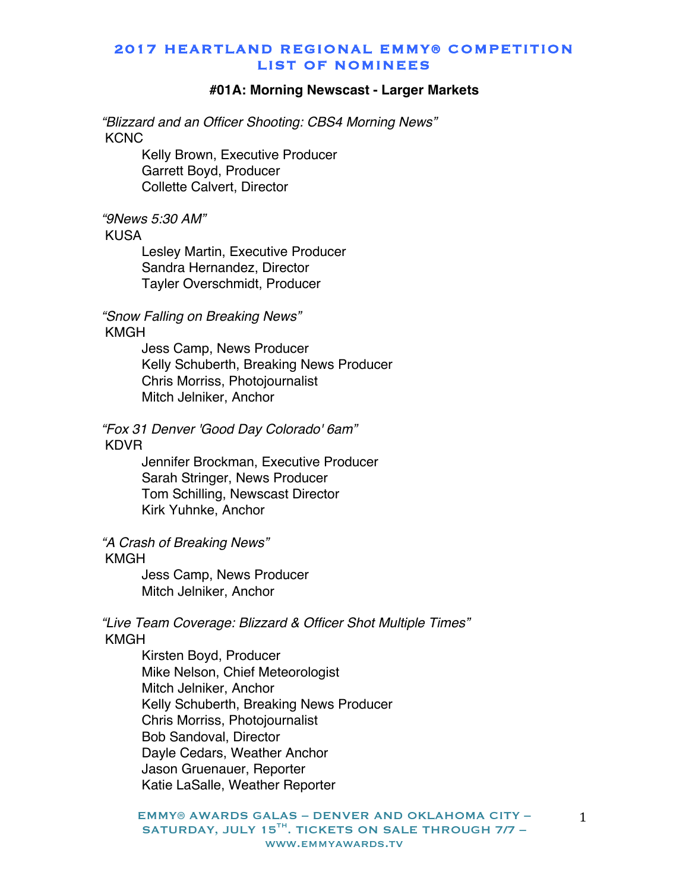#### **#01A: Morning Newscast - Larger Markets**

*"Blizzard and an Officer Shooting: CBS4 Morning News"* **KCNC** 

> Kelly Brown, Executive Producer Garrett Boyd, Producer Collette Calvert, Director

#### *"9News 5:30 AM"*

KUSA

Lesley Martin, Executive Producer Sandra Hernandez, Director Tayler Overschmidt, Producer

*"Snow Falling on Breaking News"* KMGH

> Jess Camp, News Producer Kelly Schuberth, Breaking News Producer Chris Morriss, Photojournalist Mitch Jelniker, Anchor

*"Fox 31 Denver 'Good Day Colorado' 6am"* KDVR

> Jennifer Brockman, Executive Producer Sarah Stringer, News Producer Tom Schilling, Newscast Director Kirk Yuhnke, Anchor

*"A Crash of Breaking News"*

#### KMGH

Jess Camp, News Producer Mitch Jelniker, Anchor

#### *"Live Team Coverage: Blizzard & Officer Shot Multiple Times"* KMGH

Kirsten Boyd, Producer Mike Nelson, Chief Meteorologist Mitch Jelniker, Anchor Kelly Schuberth, Breaking News Producer Chris Morriss, Photojournalist Bob Sandoval, Director Dayle Cedars, Weather Anchor Jason Gruenauer, Reporter Katie LaSalle, Weather Reporter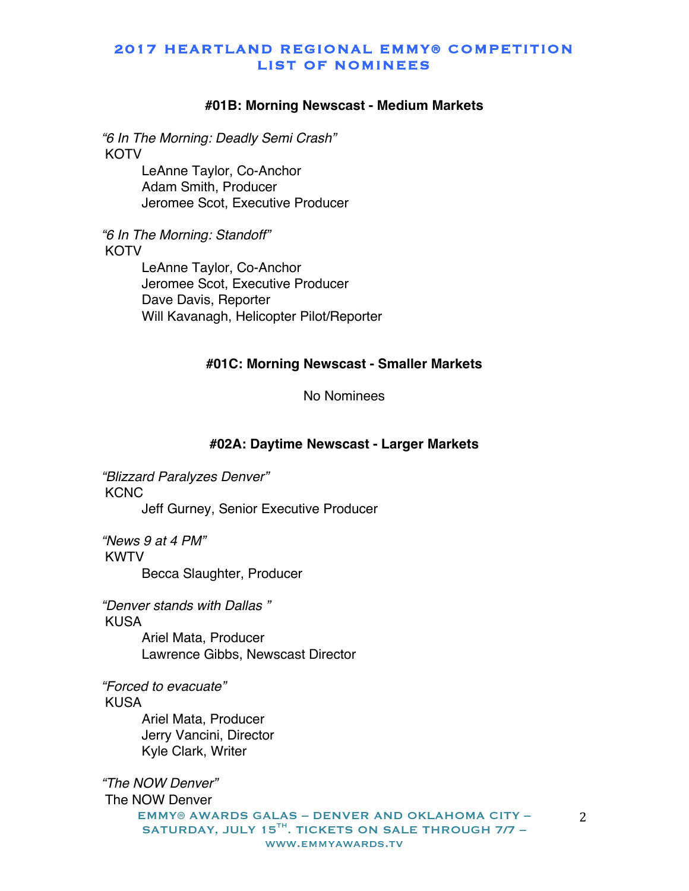#### **#01B: Morning Newscast - Medium Markets**

*"6 In The Morning: Deadly Semi Crash"* **KOTV** 

> LeAnne Taylor, Co-Anchor Adam Smith, Producer Jeromee Scot, Executive Producer

*"6 In The Morning: Standoff"* **KOTV** 

> LeAnne Taylor, Co-Anchor Jeromee Scot, Executive Producer Dave Davis, Reporter Will Kavanagh, Helicopter Pilot/Reporter

#### **#01C: Morning Newscast - Smaller Markets**

#### No Nominees

#### **#02A: Daytime Newscast - Larger Markets**

*"Blizzard Paralyzes Denver"* **KCNC** Jeff Gurney, Senior Executive Producer

*"News 9 at 4 PM"* KWTV Becca Slaughter, Producer

*"Denver stands with Dallas "* KUSA

> Ariel Mata, Producer Lawrence Gibbs, Newscast Director

*"Forced to evacuate"* KUSA

> Ariel Mata, Producer Jerry Vancini, Director Kyle Clark, Writer

EMMY® AWARDS GALAS – DENVER AND OKLAHOMA CITY – SATURDAY, JULY 15 $^{TH}$ . TICKETS ON SALE THROUGH 7/7 www.emmyawards.tv *"The NOW Denver"* The NOW Denver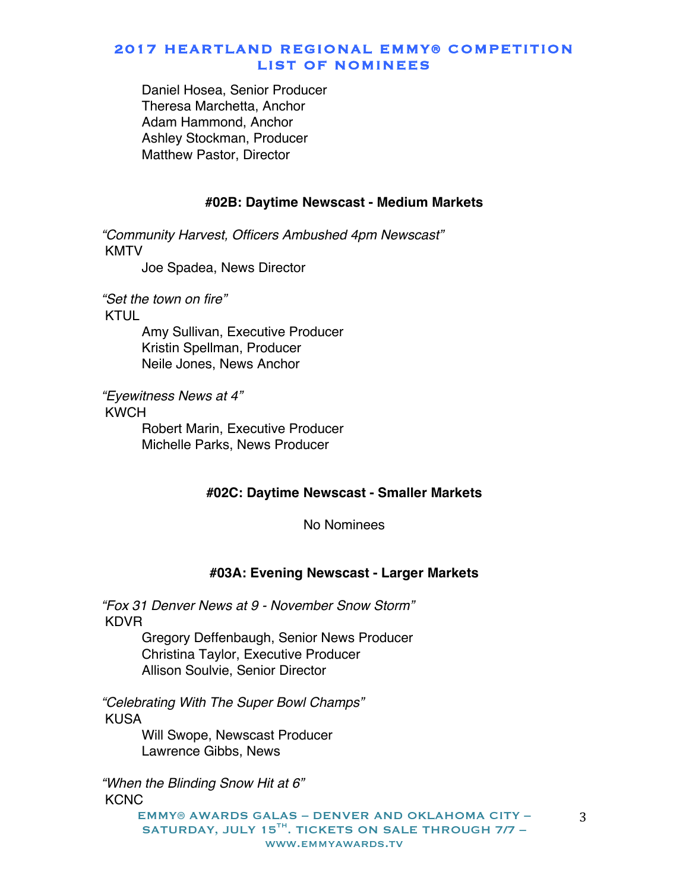Daniel Hosea, Senior Producer Theresa Marchetta, Anchor Adam Hammond, Anchor Ashley Stockman, Producer Matthew Pastor, Director

#### **#02B: Daytime Newscast - Medium Markets**

*"Community Harvest, Officers Ambushed 4pm Newscast"* KMTV

Joe Spadea, News Director

*"Set the town on fire"*

KTUL

Amy Sullivan, Executive Producer Kristin Spellman, Producer Neile Jones, News Anchor

*"Eyewitness News at 4"*

KWCH

Robert Marin, Executive Producer Michelle Parks, News Producer

#### **#02C: Daytime Newscast - Smaller Markets**

No Nominees

#### **#03A: Evening Newscast - Larger Markets**

*"Fox 31 Denver News at 9 - November Snow Storm"* KDVR

> Gregory Deffenbaugh, Senior News Producer Christina Taylor, Executive Producer Allison Soulvie, Senior Director

*"Celebrating With The Super Bowl Champs"* **KUSA** 

> Will Swope, Newscast Producer Lawrence Gibbs, News

*"When the Blinding Snow Hit at 6"* **KCNC** 

> EMMY® AWARDS GALAS – DENVER AND OKLAHOMA CITY – SATURDAY, JULY 15 $^{TH}$ . TICKETS ON SALE THROUGH 7/7 www.emmyawards.tv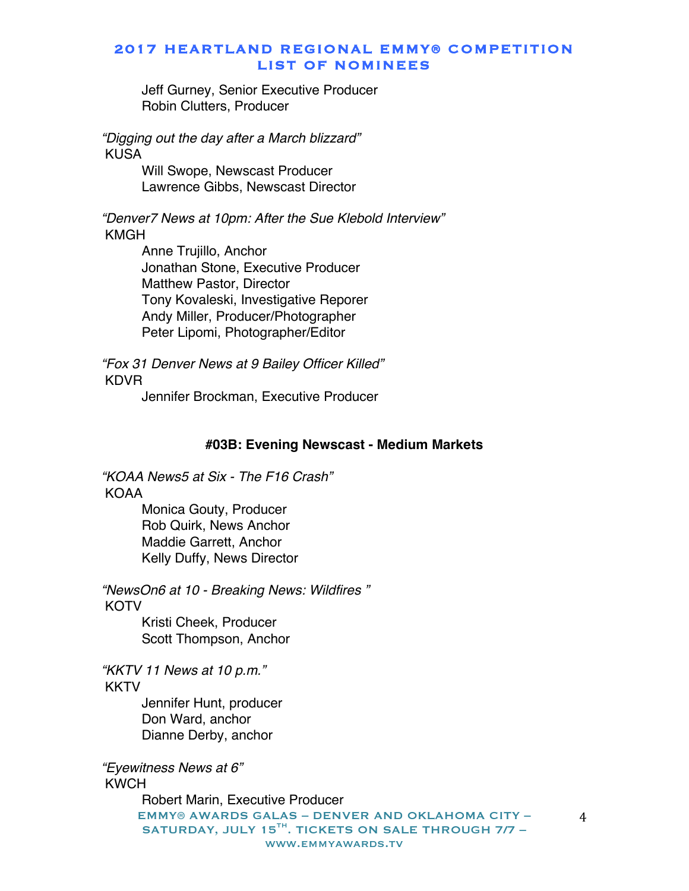Jeff Gurney, Senior Executive Producer Robin Clutters, Producer

*"Digging out the day after a March blizzard"* KUSA

> Will Swope, Newscast Producer Lawrence Gibbs, Newscast Director

*"Denver7 News at 10pm: After the Sue Klebold Interview"* KMGH

> Anne Trujillo, Anchor Jonathan Stone, Executive Producer Matthew Pastor, Director Tony Kovaleski, Investigative Reporer Andy Miller, Producer/Photographer Peter Lipomi, Photographer/Editor

*"Fox 31 Denver News at 9 Bailey Officer Killed"* KDVR

Jennifer Brockman, Executive Producer

#### **#03B: Evening Newscast - Medium Markets**

*"KOAA News5 at Six - The F16 Crash"* KOAA

> Monica Gouty, Producer Rob Quirk, News Anchor Maddie Garrett, Anchor Kelly Duffy, News Director

*"NewsOn6 at 10 - Breaking News: Wildfires "* **KOTV** 

Kristi Cheek, Producer Scott Thompson, Anchor

*"KKTV 11 News at 10 p.m."* **KKTV** 

> Jennifer Hunt, producer Don Ward, anchor Dianne Derby, anchor

*"Eyewitness News at 6"* KWCH

> EMMY® AWARDS GALAS – DENVER AND OKLAHOMA CITY – SATURDAY, JULY 15 $^{TH}$ . TICKETS ON SALE THROUGH 7/7 www.emmyawards.tv Robert Marin, Executive Producer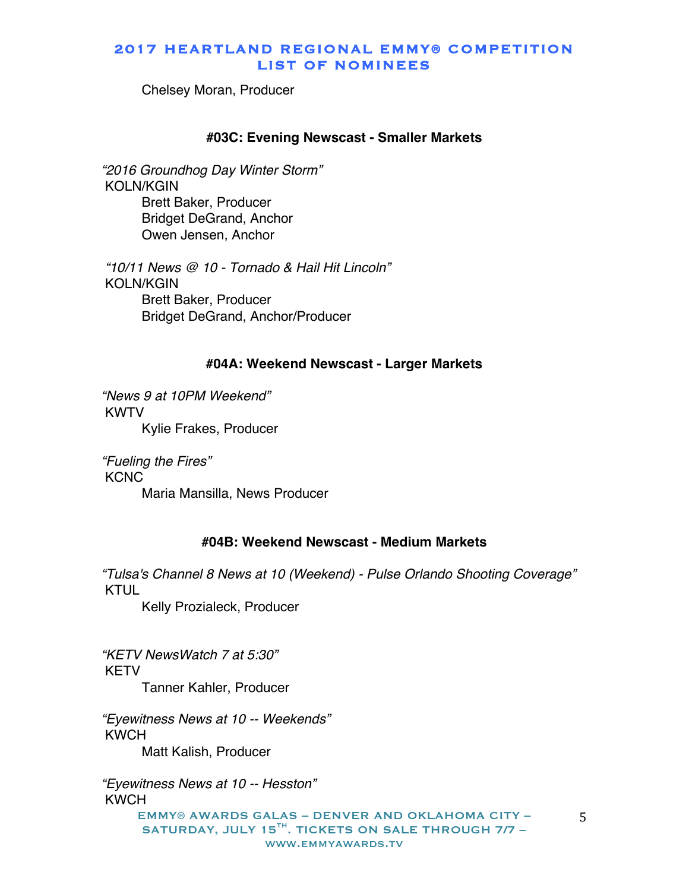Chelsey Moran, Producer

#### **#03C: Evening Newscast - Smaller Markets**

*"2016 Groundhog Day Winter Storm"* KOLN/KGIN Brett Baker, Producer Bridget DeGrand, Anchor Owen Jensen, Anchor

*"10/11 News @ 10 - Tornado & Hail Hit Lincoln"* KOLN/KGIN Brett Baker, Producer Bridget DeGrand, Anchor/Producer

#### **#04A: Weekend Newscast - Larger Markets**

*"News 9 at 10PM Weekend"* KWTV Kylie Frakes, Producer

*"Fueling the Fires"* **KCNC** Maria Mansilla, News Producer

#### **#04B: Weekend Newscast - Medium Markets**

*"Tulsa's Channel 8 News at 10 (Weekend) - Pulse Orlando Shooting Coverage"* KTUL

Kelly Prozialeck, Producer

*"KETV NewsWatch 7 at 5:30"* KETV Tanner Kahler, Producer

*"Eyewitness News at 10 -- Weekends"* KWCH Matt Kalish, Producer

EMMY® AWARDS GALAS – DENVER AND OKLAHOMA CITY – SATURDAY, JULY 15 $^{TH}$ . TICKETS ON SALE THROUGH 7/7 www.emmyawards.tv *"Eyewitness News at 10 -- Hesston"* KWCH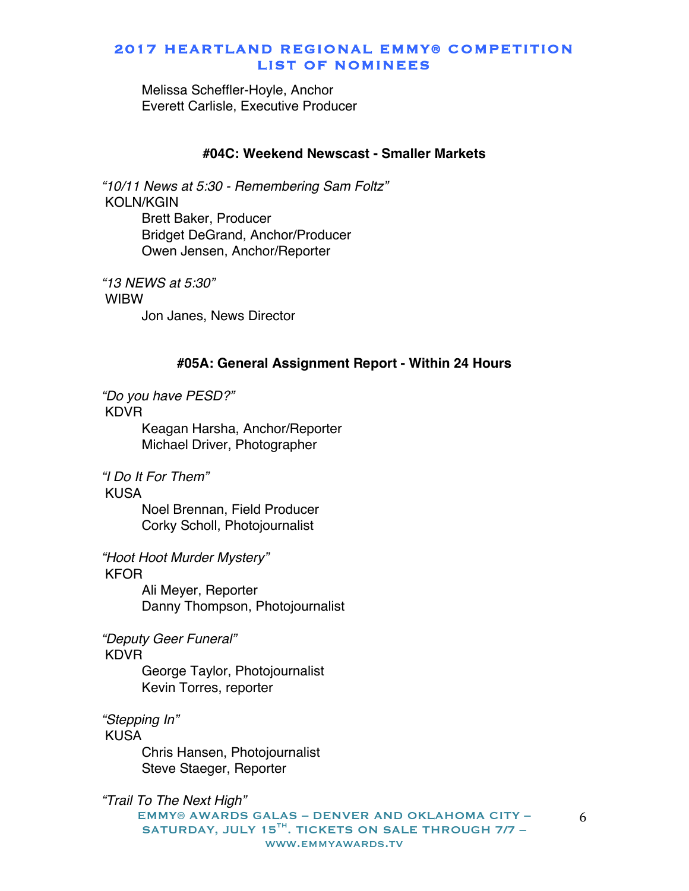Melissa Scheffler-Hoyle, Anchor Everett Carlisle, Executive Producer

#### **#04C: Weekend Newscast - Smaller Markets**

*"10/11 News at 5:30 - Remembering Sam Foltz"* KOLN/KGIN Brett Baker, Producer Bridget DeGrand, Anchor/Producer Owen Jensen, Anchor/Reporter

*"13 NEWS at 5:30"* WIBW Jon Janes, News Director

#### **#05A: General Assignment Report - Within 24 Hours**

*"Do you have PESD?"*

KDVR

Keagan Harsha, Anchor/Reporter Michael Driver, Photographer

*"I Do It For Them"*

KUSA

Noel Brennan, Field Producer Corky Scholl, Photojournalist

*"Hoot Hoot Murder Mystery"*

KFOR

Ali Meyer, Reporter Danny Thompson, Photojournalist

*"Deputy Geer Funeral"*

#### KDVR

George Taylor, Photojournalist Kevin Torres, reporter

*"Stepping In"* KUSA

Chris Hansen, Photojournalist Steve Staeger, Reporter

EMMY® AWARDS GALAS – DENVER AND OKLAHOMA CITY – SATURDAY, JULY 15 $^{TH}$ . TICKETS ON SALE THROUGH 7/7 www.emmyawards.tv *"Trail To The Next High"*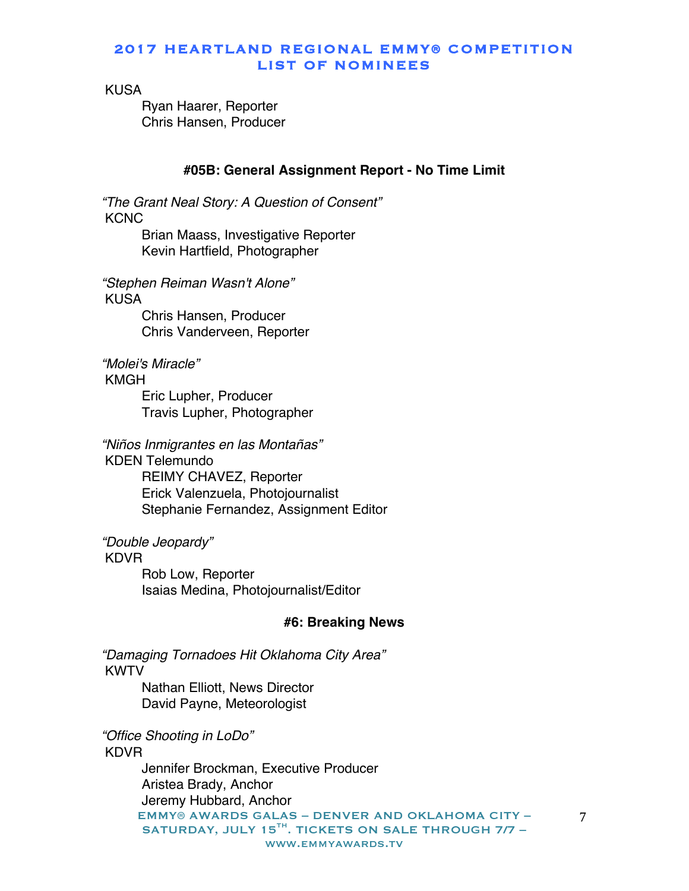KUSA

Ryan Haarer, Reporter Chris Hansen, Producer

# **#05B: General Assignment Report - No Time Limit**

*"The Grant Neal Story: A Question of Consent"* **KCNC** Brian Maass, Investigative Reporter Kevin Hartfield, Photographer

*"Stephen Reiman Wasn't Alone"* KUSA Chris Hansen, Producer

Chris Vanderveen, Reporter

*"Molei's Miracle"*

KMGH

Eric Lupher, Producer Travis Lupher, Photographer

*"Niños Inmigrantes en las Montañas"* KDEN Telemundo REIMY CHAVEZ, Reporter Erick Valenzuela, Photojournalist Stephanie Fernandez, Assignment Editor

*"Double Jeopardy"*

# KDVR

Rob Low, Reporter Isaias Medina, Photojournalist/Editor

# **#6: Breaking News**

*"Damaging Tornadoes Hit Oklahoma City Area"* KWTV

Nathan Elliott, News Director David Payne, Meteorologist

*"Office Shooting in LoDo"* KDVR Jennifer Brockman, Executive Producer Aristea Brady, Anchor

EMMY® AWARDS GALAS – DENVER AND OKLAHOMA CITY – SATURDAY, JULY 15 $^{TH}$ . TICKETS ON SALE THROUGH 7/7 www.emmyawards.tv Jeremy Hubbard, Anchor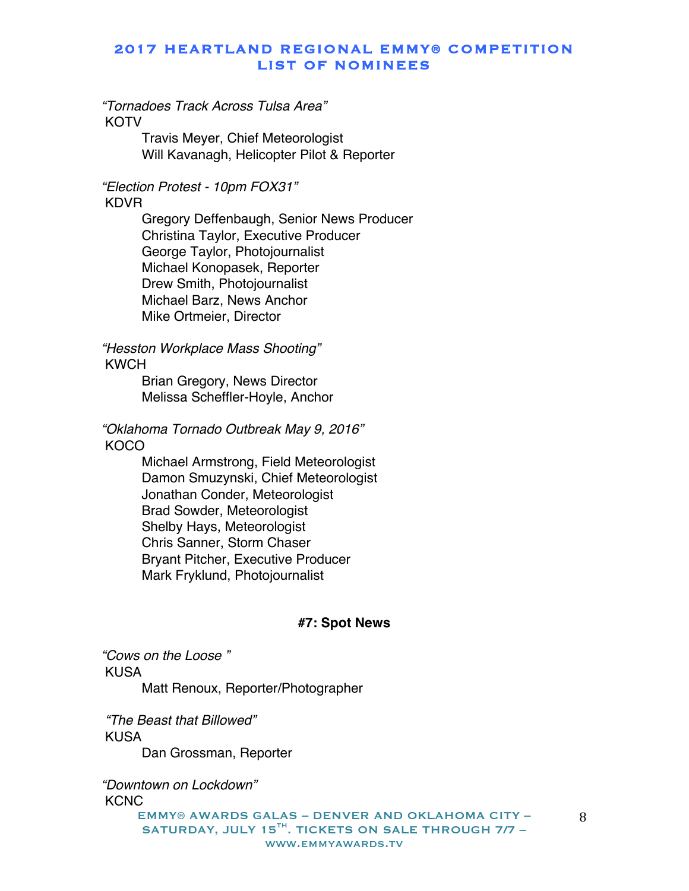*"Tornadoes Track Across Tulsa Area"* **KOTV** 

> Travis Meyer, Chief Meteorologist Will Kavanagh, Helicopter Pilot & Reporter

*"Election Protest - 10pm FOX31"* KDVR

> Gregory Deffenbaugh, Senior News Producer Christina Taylor, Executive Producer George Taylor, Photojournalist Michael Konopasek, Reporter Drew Smith, Photojournalist Michael Barz, News Anchor Mike Ortmeier, Director

*"Hesston Workplace Mass Shooting"* KWCH

> Brian Gregory, News Director Melissa Scheffler-Hoyle, Anchor

*"Oklahoma Tornado Outbreak May 9, 2016"* **KOCO** 

> Michael Armstrong, Field Meteorologist Damon Smuzynski, Chief Meteorologist Jonathan Conder, Meteorologist Brad Sowder, Meteorologist Shelby Hays, Meteorologist Chris Sanner, Storm Chaser Bryant Pitcher, Executive Producer Mark Fryklund, Photojournalist

#### **#7: Spot News**

*"Cows on the Loose "* KUSA Matt Renoux, Reporter/Photographer

*"The Beast that Billowed"* KUSA Dan Grossman, Reporter

*"Downtown on Lockdown"* **KCNC** 

EMMY® AWARDS GALAS – DENVER AND OKLAHOMA CITY – SATURDAY, JULY 15 $^{TH}$ . TICKETS ON SALE THROUGH 7/7 www.emmyawards.tv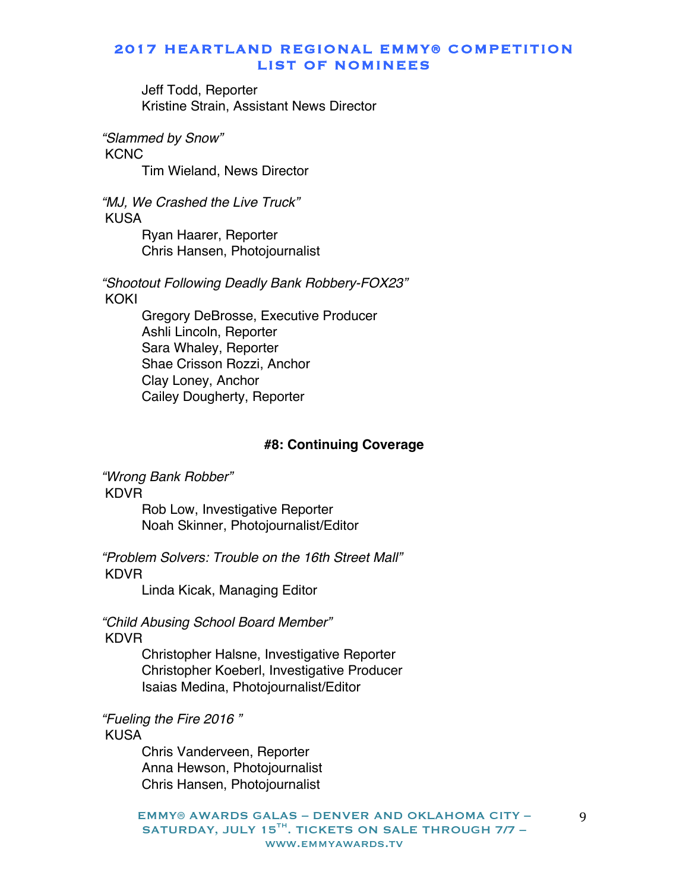Jeff Todd, Reporter Kristine Strain, Assistant News Director

*"Slammed by Snow"*

**KCNC** 

Tim Wieland, News Director

*"MJ, We Crashed the Live Truck"* KUSA Ryan Haarer, Reporter

Chris Hansen, Photojournalist

*"Shootout Following Deadly Bank Robbery-FOX23"* KOKI

> Gregory DeBrosse, Executive Producer Ashli Lincoln, Reporter Sara Whaley, Reporter Shae Crisson Rozzi, Anchor Clay Loney, Anchor Cailey Dougherty, Reporter

# **#8: Continuing Coverage**

*"Wrong Bank Robber"* KDVR

Rob Low, Investigative Reporter Noah Skinner, Photojournalist/Editor

*"Problem Solvers: Trouble on the 16th Street Mall"* KDVR

Linda Kicak, Managing Editor

*"Child Abusing School Board Member"* KDVR

> Christopher Halsne, Investigative Reporter Christopher Koeberl, Investigative Producer Isaias Medina, Photojournalist/Editor

*"Fueling the Fire 2016 "* KUSA

> Chris Vanderveen, Reporter Anna Hewson, Photojournalist Chris Hansen, Photojournalist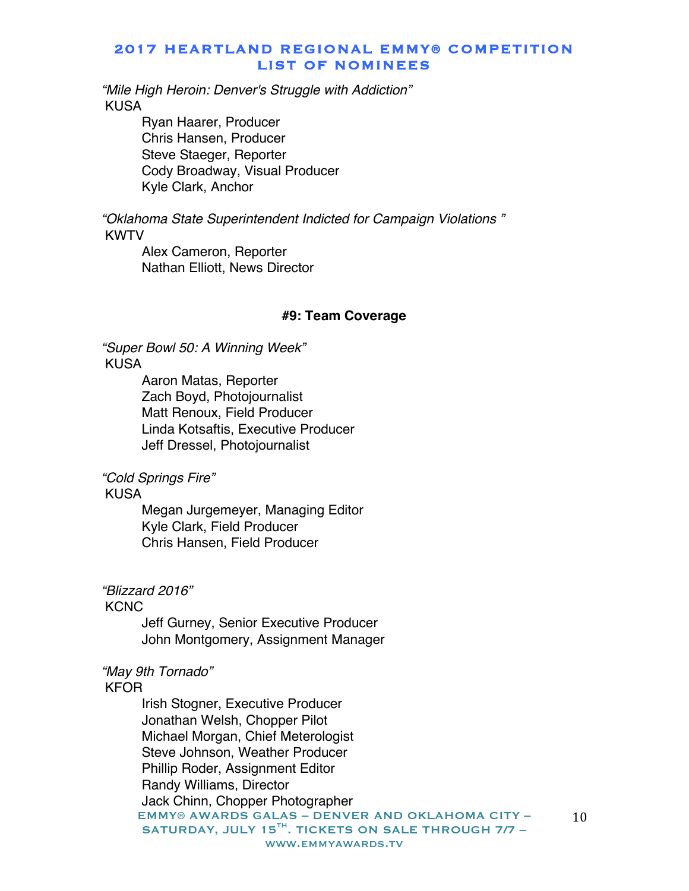*"Mile High Heroin: Denver's Struggle with Addiction"* KUSA

> Ryan Haarer, Producer Chris Hansen, Producer Steve Staeger, Reporter Cody Broadway, Visual Producer Kyle Clark, Anchor

*"Oklahoma State Superintendent Indicted for Campaign Violations "* KWTV

Alex Cameron, Reporter Nathan Elliott, News Director

#### **#9: Team Coverage**

*"Super Bowl 50: A Winning Week"* KUSA

> Aaron Matas, Reporter Zach Boyd, Photojournalist Matt Renoux, Field Producer Linda Kotsaftis, Executive Producer Jeff Dressel, Photojournalist

*"Cold Springs Fire"*

KUSA

Megan Jurgemeyer, Managing Editor Kyle Clark, Field Producer Chris Hansen, Field Producer

*"Blizzard 2016"*

#### **KCNC**

Jeff Gurney, Senior Executive Producer John Montgomery, Assignment Manager

#### *"May 9th Tornado"*

#### KFOR

EMMY® AWARDS GALAS – DENVER AND OKLAHOMA CITY – SATURDAY, JULY 15<sup>TH</sup>. TICKETS ON SALE THROUGH 7/7 www.emmyawards.tv Irish Stogner, Executive Producer Jonathan Welsh, Chopper Pilot Michael Morgan, Chief Meterologist Steve Johnson, Weather Producer Phillip Roder, Assignment Editor Randy Williams, Director Jack Chinn, Chopper Photographer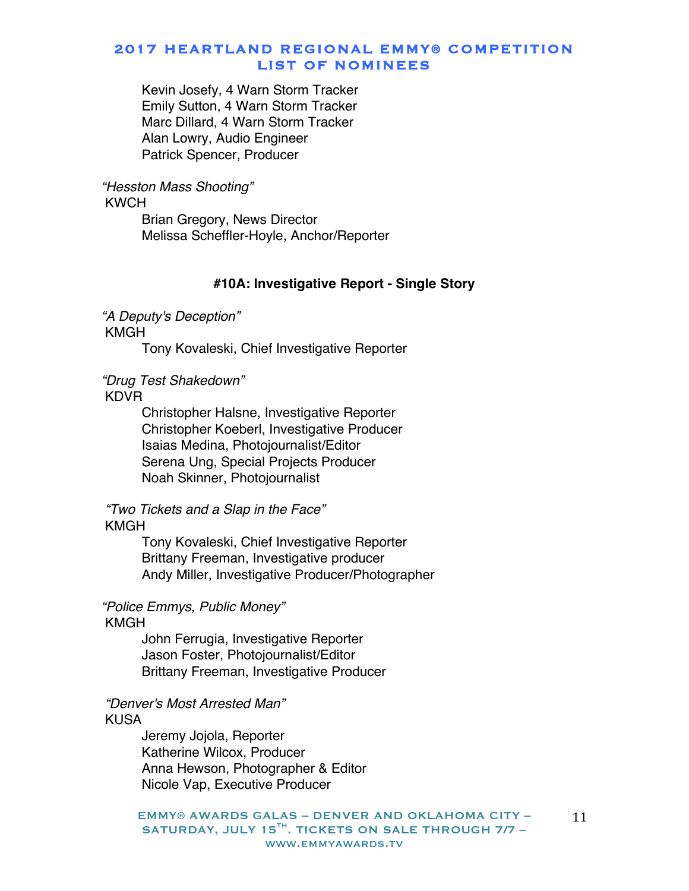Kevin Josefy, 4 Warn Storm Tracker Emily Sutton, 4 Warn Storm Tracker Marc Dillard, 4 Warn Storm Tracker Alan Lowry, Audio Engineer Patrick Spencer, Producer

#### *"Hesston Mass Shooting"* KWCH

Brian Gregory, News Director Melissa Scheffler-Hoyle, Anchor/Reporter

### **#10A: Investigative Report - Single Story**

*"A Deputy's Deception"* KMGH

Tony Kovaleski, Chief Investigative Reporter

# *"Drug Test Shakedown"*

KDVR

Christopher Halsne, Investigative Reporter Christopher Koeberl, Investigative Producer Isaias Medina, Photojournalist/Editor Serena Ung, Special Projects Producer Noah Skinner, Photojournalist

# *"Two Tickets and a Slap in the Face"*

#### KMGH

Tony Kovaleski, Chief Investigative Reporter Brittany Freeman, Investigative producer Andy Miller, Investigative Producer/Photographer

# *"Police Emmys, Public Money"*

#### KMGH

John Ferrugia, Investigative Reporter Jason Foster, Photojournalist/Editor Brittany Freeman, Investigative Producer

*"Denver's Most Arrested Man"* KUSA

> Jeremy Jojola, Reporter Katherine Wilcox, Producer Anna Hewson, Photographer & Editor Nicole Vap, Executive Producer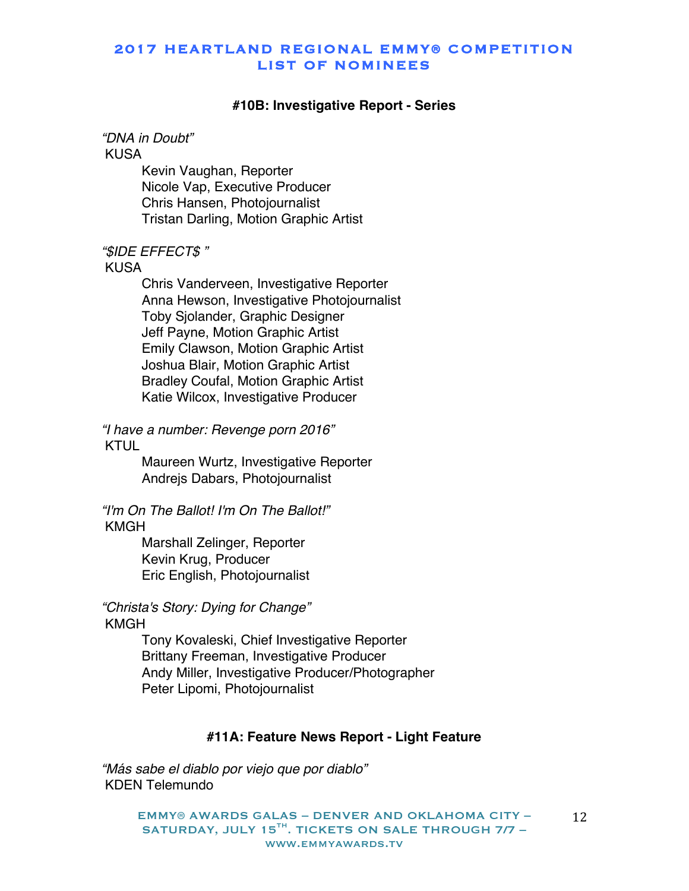#### **#10B: Investigative Report - Series**

*"DNA in Doubt"* KUSA

> Kevin Vaughan, Reporter Nicole Vap, Executive Producer Chris Hansen, Photojournalist Tristan Darling, Motion Graphic Artist

#### *"\$IDE EFFECT\$ "*

#### KUSA

Chris Vanderveen, Investigative Reporter Anna Hewson, Investigative Photojournalist Toby Sjolander, Graphic Designer Jeff Payne, Motion Graphic Artist Emily Clawson, Motion Graphic Artist Joshua Blair, Motion Graphic Artist Bradley Coufal, Motion Graphic Artist Katie Wilcox, Investigative Producer

*"I have a number: Revenge porn 2016"* KTUL

> Maureen Wurtz, Investigative Reporter Andrejs Dabars, Photojournalist

*"I'm On The Ballot! I'm On The Ballot!"* KMGH

> Marshall Zelinger, Reporter Kevin Krug, Producer Eric English, Photojournalist

*"Christa's Story: Dying for Change"* KMGH

> Tony Kovaleski, Chief Investigative Reporter Brittany Freeman, Investigative Producer Andy Miller, Investigative Producer/Photographer Peter Lipomi, Photojournalist

### **#11A: Feature News Report - Light Feature**

*"Más sabe el diablo por viejo que por diablo"* KDEN Telemundo

> EMMY® AWARDS GALAS – DENVER AND OKLAHOMA CITY – SATURDAY, JULY 15 $^{TH}$ . TICKETS ON SALE THROUGH 7/7 www.emmyawards.tv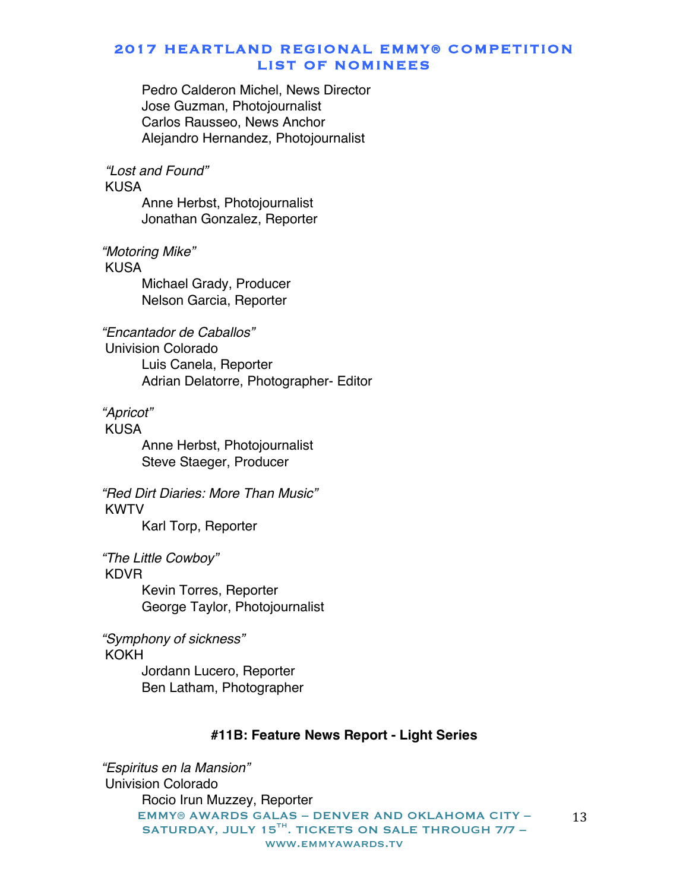Pedro Calderon Michel, News Director Jose Guzman, Photojournalist Carlos Rausseo, News Anchor Alejandro Hernandez, Photojournalist

*"Lost and Found"*

KUSA

Anne Herbst, Photojournalist Jonathan Gonzalez, Reporter

*"Motoring Mike"*

KUSA

Michael Grady, Producer Nelson Garcia, Reporter

*"Encantador de Caballos"* Univision Colorado

Luis Canela, Reporter Adrian Delatorre, Photographer- Editor

*"Apricot"*

KUSA Anne Herbst, Photojournalist Steve Staeger, Producer

*"Red Dirt Diaries: More Than Music"* KWTV

Karl Torp, Reporter

*"The Little Cowboy"* KDVR Kevin Torres, Reporter George Taylor, Photojournalist

*"Symphony of sickness"* KOKH

Jordann Lucero, Reporter Ben Latham, Photographer

#### **#11B: Feature News Report - Light Series**

EMMY® AWARDS GALAS – DENVER AND OKLAHOMA CITY – SATURDAY, JULY 15 $^{TH}$ . TICKETS ON SALE THROUGH 7/7 www.emmyawards.tv 13 *"Espiritus en la Mansion"* Univision Colorado Rocio Irun Muzzey, Reporter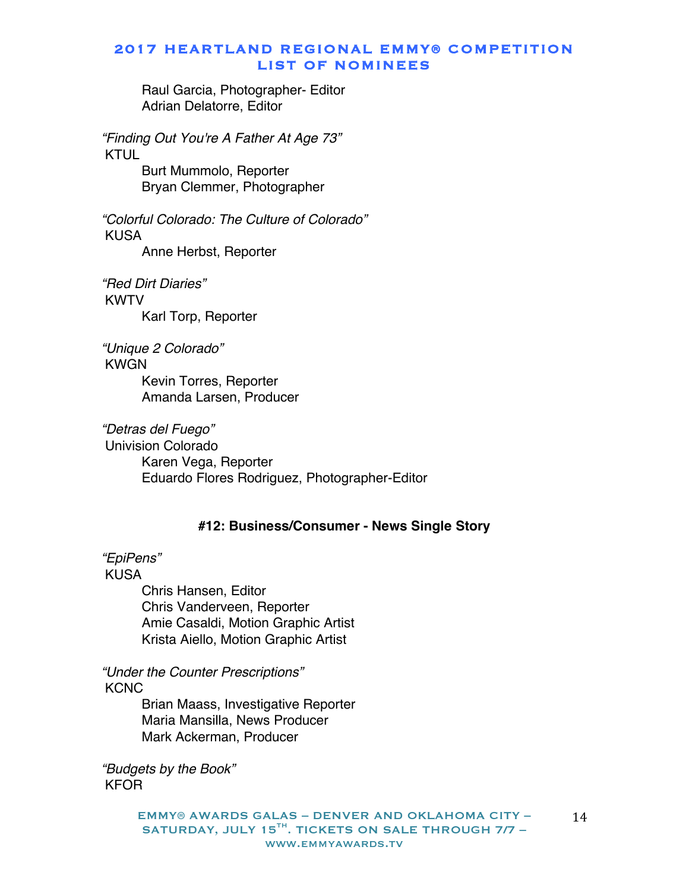Raul Garcia, Photographer- Editor Adrian Delatorre, Editor

*"Finding Out You're A Father At Age 73"* KTUL Burt Mummolo, Reporter

Bryan Clemmer, Photographer

*"Colorful Colorado: The Culture of Colorado"* KUSA Anne Herbst, Reporter

*"Red Dirt Diaries"* KWTV Karl Torp, Reporter

*"Unique 2 Colorado"* KWGN Kevin Torres, Reporter Amanda Larsen, Producer

*"Detras del Fuego"* Univision Colorado Karen Vega, Reporter Eduardo Flores Rodriguez, Photographer-Editor

### **#12: Business/Consumer - News Single Story**

*"EpiPens"*

KUSA

Chris Hansen, Editor Chris Vanderveen, Reporter Amie Casaldi, Motion Graphic Artist Krista Aiello, Motion Graphic Artist

*"Under the Counter Prescriptions"* **KCNC** 

Brian Maass, Investigative Reporter Maria Mansilla, News Producer Mark Ackerman, Producer

*"Budgets by the Book"* KFOR

> EMMY® AWARDS GALAS – DENVER AND OKLAHOMA CITY – SATURDAY, JULY 15<sup>TH</sup>. TICKETS ON SALE THROUGH 7/7 www.emmyawards.tv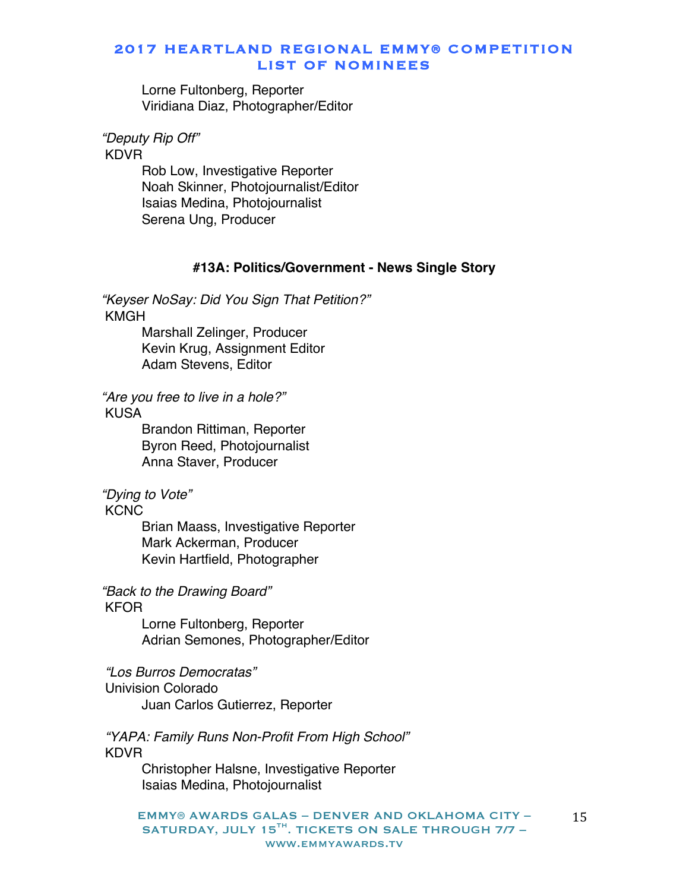Lorne Fultonberg, Reporter Viridiana Diaz, Photographer/Editor

*"Deputy Rip Off"*

KDVR

Rob Low, Investigative Reporter Noah Skinner, Photojournalist/Editor Isaias Medina, Photojournalist Serena Ung, Producer

### **#13A: Politics/Government - News Single Story**

*"Keyser NoSay: Did You Sign That Petition?"* KMGH

Marshall Zelinger, Producer Kevin Krug, Assignment Editor Adam Stevens, Editor

*"Are you free to live in a hole?"* KUSA

> Brandon Rittiman, Reporter Byron Reed, Photojournalist Anna Staver, Producer

*"Dying to Vote"*

**KCNC** 

Brian Maass, Investigative Reporter Mark Ackerman, Producer Kevin Hartfield, Photographer

*"Back to the Drawing Board"*

#### KFOR

Lorne Fultonberg, Reporter Adrian Semones, Photographer/Editor

*"Los Burros Democratas"* Univision Colorado Juan Carlos Gutierrez, Reporter

*"YAPA: Family Runs Non-Profit From High School"* KDVR

Christopher Halsne, Investigative Reporter Isaias Medina, Photojournalist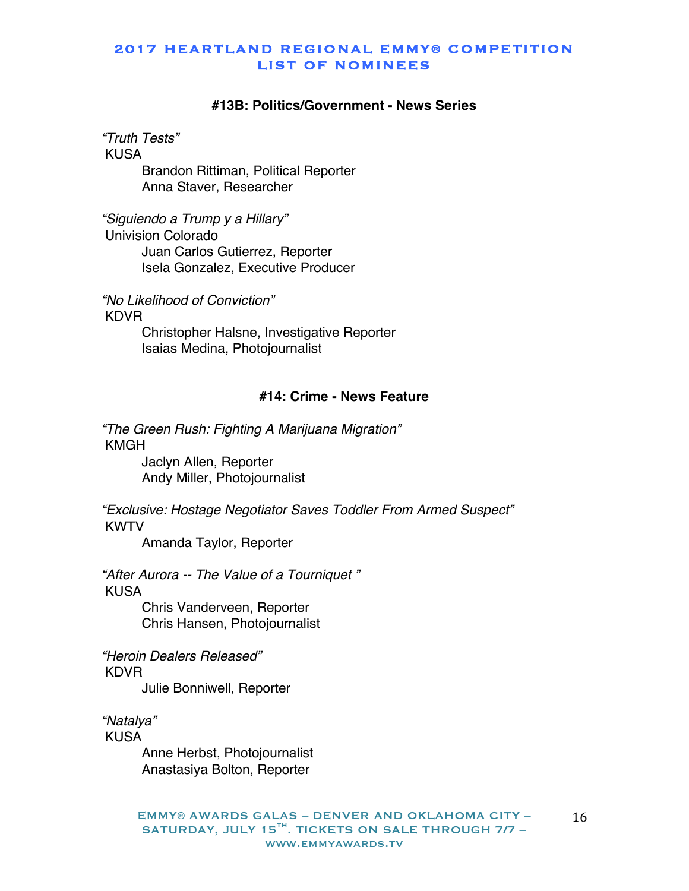#### **#13B: Politics/Government - News Series**

*"Truth Tests"* KUSA Brandon Rittiman, Political Reporter

Anna Staver, Researcher

*"Siguiendo a Trump y a Hillary"* Univision Colorado Juan Carlos Gutierrez, Reporter Isela Gonzalez, Executive Producer

*"No Likelihood of Conviction"* KDVR Christopher Halsne, Investigative Reporter Isaias Medina, Photojournalist

# **#14: Crime - News Feature**

*"The Green Rush: Fighting A Marijuana Migration"* KMGH Jaclyn Allen, Reporter Andy Miller, Photojournalist

*"Exclusive: Hostage Negotiator Saves Toddler From Armed Suspect"* KWTV

Amanda Taylor, Reporter

*"After Aurora -- The Value of a Tourniquet "* KUSA Chris Vanderveen, Reporter

Chris Hansen, Photojournalist

*"Heroin Dealers Released"* KDVR

Julie Bonniwell, Reporter

*"Natalya"* KUSA

> Anne Herbst, Photojournalist Anastasiya Bolton, Reporter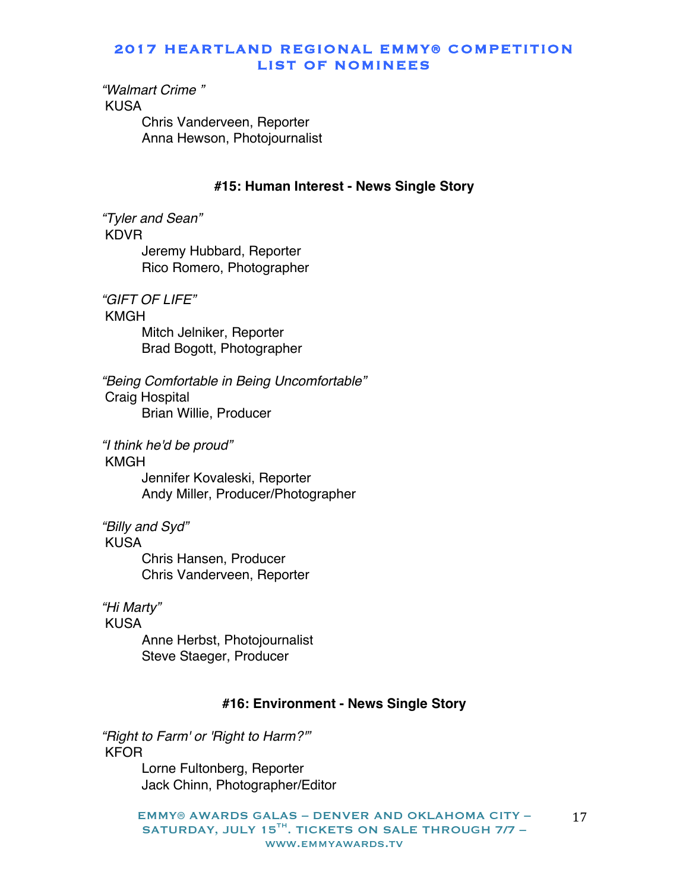*"Walmart Crime "* KUSA Chris Vanderveen, Reporter Anna Hewson, Photojournalist

#### **#15: Human Interest - News Single Story**

*"Tyler and Sean"* KDVR Jeremy Hubbard, Reporter Rico Romero, Photographer

*"GIFT OF LIFE"* KMGH Mitch Jelniker, Reporter Brad Bogott, Photographer

*"Being Comfortable in Being Uncomfortable"* Craig Hospital Brian Willie, Producer

*"I think he'd be proud"* KMGH

> Jennifer Kovaleski, Reporter Andy Miller, Producer/Photographer

*"Billy and Syd"* KUSA

> Chris Hansen, Producer Chris Vanderveen, Reporter

*"Hi Marty"*

KUSA

Anne Herbst, Photojournalist Steve Staeger, Producer

### **#16: Environment - News Single Story**

*"Right to Farm' or 'Right to Harm?'"* KFOR

Lorne Fultonberg, Reporter Jack Chinn, Photographer/Editor

EMMY® AWARDS GALAS – DENVER AND OKLAHOMA CITY – SATURDAY, JULY 15<sup>TH</sup>. TICKETS ON SALE THROUGH 7/7 www.emmyawards.tv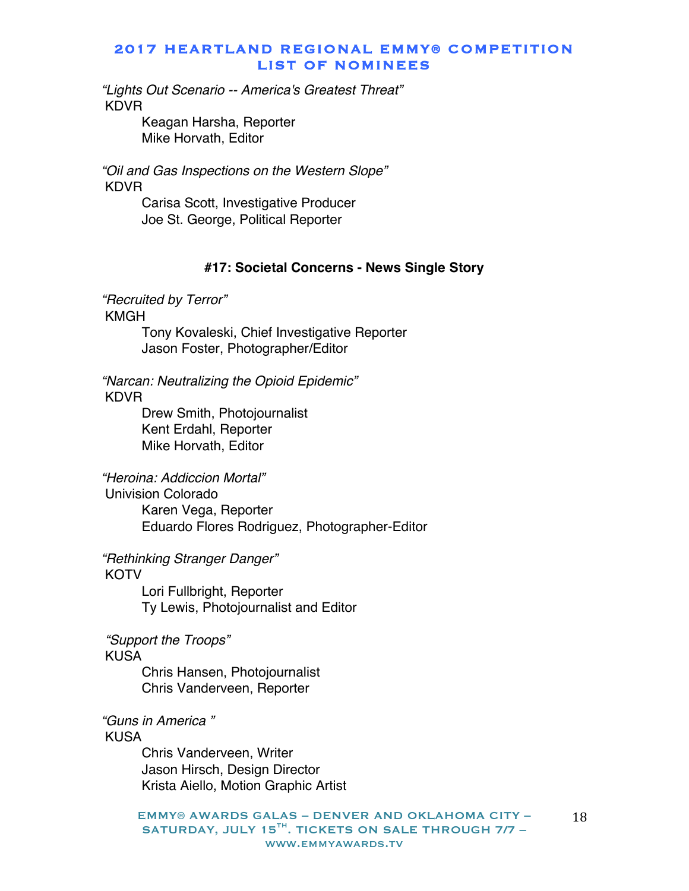*"Lights Out Scenario -- America's Greatest Threat"* KDVR

> Keagan Harsha, Reporter Mike Horvath, Editor

*"Oil and Gas Inspections on the Western Slope"* KDVR

Carisa Scott, Investigative Producer Joe St. George, Political Reporter

### **#17: Societal Concerns - News Single Story**

*"Recruited by Terror"* KMGH

> Tony Kovaleski, Chief Investigative Reporter Jason Foster, Photographer/Editor

*"Narcan: Neutralizing the Opioid Epidemic"* KDVR

> Drew Smith, Photojournalist Kent Erdahl, Reporter Mike Horvath, Editor

*"Heroina: Addiccion Mortal"*

Univision Colorado Karen Vega, Reporter Eduardo Flores Rodriguez, Photographer-Editor

*"Rethinking Stranger Danger"*

**KOTV** 

Lori Fullbright, Reporter Ty Lewis, Photojournalist and Editor

*"Support the Troops"*

#### KUSA

Chris Hansen, Photojournalist Chris Vanderveen, Reporter

*"Guns in America "* KUSA

> Chris Vanderveen, Writer Jason Hirsch, Design Director Krista Aiello, Motion Graphic Artist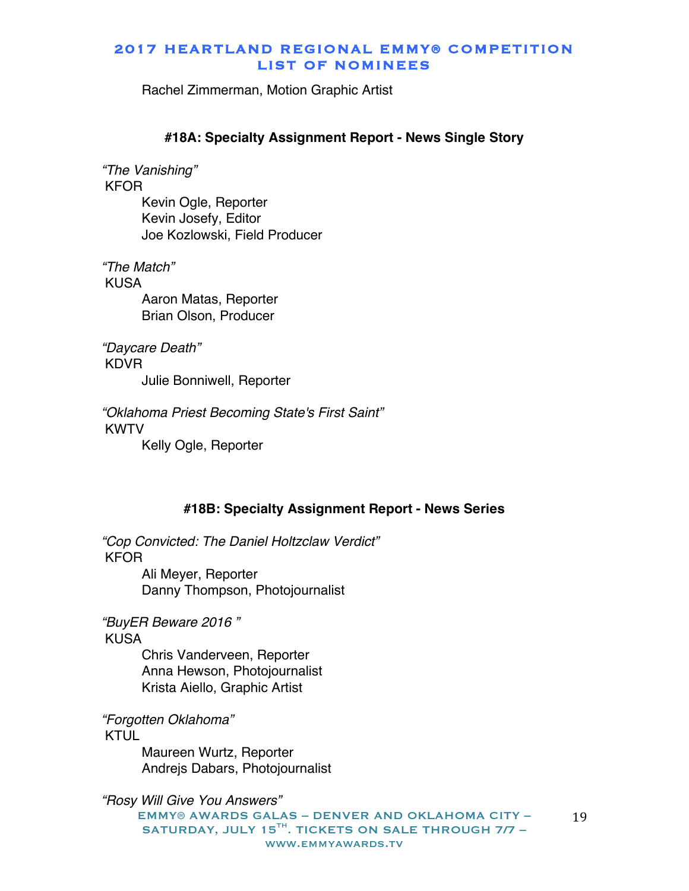Rachel Zimmerman, Motion Graphic Artist

#### **#18A: Specialty Assignment Report - News Single Story**

*"The Vanishing"* KFOR Kevin Ogle, Reporter Kevin Josefy, Editor Joe Kozlowski, Field Producer

*"The Match"* KUSA Aaron Matas, Reporter Brian Olson, Producer

*"Daycare Death"* KDVR Julie Bonniwell, Reporter

*"Oklahoma Priest Becoming State's First Saint"* KWTV Kelly Ogle, Reporter

#### **#18B: Specialty Assignment Report - News Series**

*"Cop Convicted: The Daniel Holtzclaw Verdict"* KFOR Ali Meyer, Reporter

Danny Thompson, Photojournalist

*"BuyER Beware 2016 "* KUSA

> Chris Vanderveen, Reporter Anna Hewson, Photojournalist Krista Aiello, Graphic Artist

*"Forgotten Oklahoma"* KTUL

> Maureen Wurtz, Reporter Andrejs Dabars, Photojournalist

*"Rosy Will Give You Answers"*

EMMY® AWARDS GALAS – DENVER AND OKLAHOMA CITY – SATURDAY, JULY 15<sup>TH</sup>. TICKETS ON SALE THROUGH 7/7 www.emmyawards.tv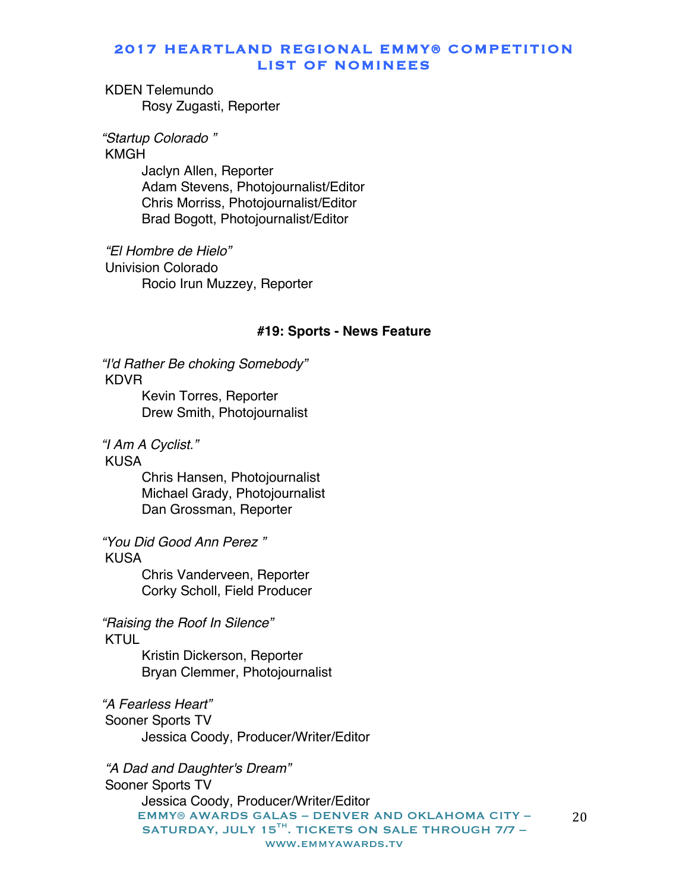KDEN Telemundo Rosy Zugasti, Reporter

*"Startup Colorado "*

KMGH

Jaclyn Allen, Reporter Adam Stevens, Photojournalist/Editor Chris Morriss, Photojournalist/Editor Brad Bogott, Photojournalist/Editor

*"El Hombre de Hielo"* Univision Colorado Rocio Irun Muzzey, Reporter

#### **#19: Sports - News Feature**

*"I'd Rather Be choking Somebody"* KDVR

> Kevin Torres, Reporter Drew Smith, Photojournalist

*"I Am A Cyclist."*

KUSA

Chris Hansen, Photojournalist Michael Grady, Photojournalist Dan Grossman, Reporter

*"You Did Good Ann Perez "*

KUSA

Chris Vanderveen, Reporter Corky Scholl, Field Producer

*"Raising the Roof In Silence"* KTUL

> Kristin Dickerson, Reporter Bryan Clemmer, Photojournalist

*"A Fearless Heart"* Sooner Sports TV Jessica Coody, Producer/Writer/Editor

EMMY® AWARDS GALAS – DENVER AND OKLAHOMA CITY – SATURDAY, JULY 15 $^{TH}$ . TICKETS ON SALE THROUGH 7/7 www.emmyawards.tv 20 *"A Dad and Daughter's Dream"* Sooner Sports TV Jessica Coody, Producer/Writer/Editor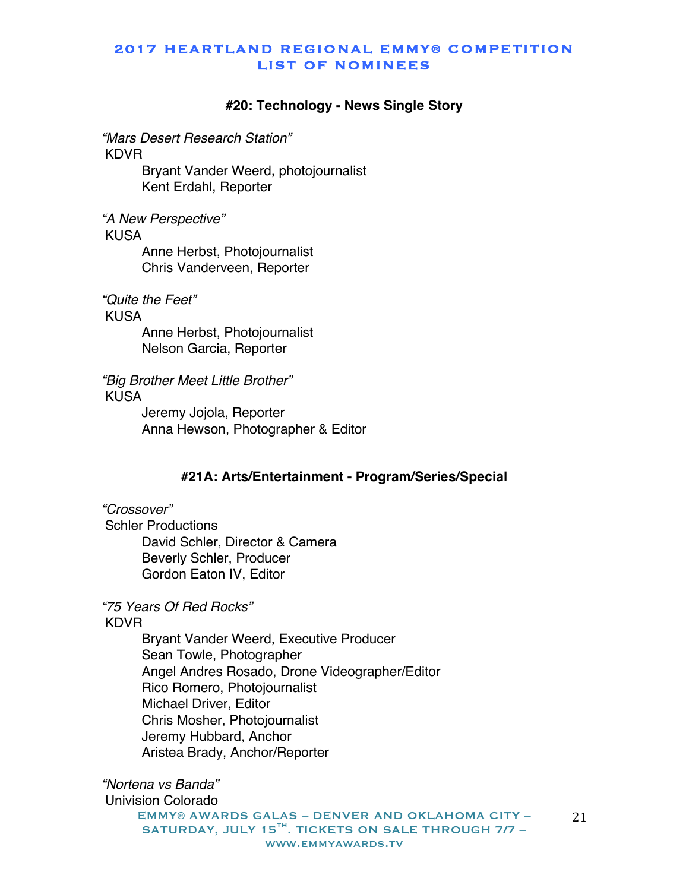#### **#20: Technology - News Single Story**

*"Mars Desert Research Station"* KDVR

> Bryant Vander Weerd, photojournalist Kent Erdahl, Reporter

*"A New Perspective"*

KUSA

Anne Herbst, Photojournalist Chris Vanderveen, Reporter

*"Quite the Feet"*

KUSA

Anne Herbst, Photojournalist Nelson Garcia, Reporter

*"Big Brother Meet Little Brother"* KUSA

Jeremy Jojola, Reporter Anna Hewson, Photographer & Editor

### **#21A: Arts/Entertainment - Program/Series/Special**

*"Crossover"* Schler Productions David Schler, Director & Camera Beverly Schler, Producer Gordon Eaton IV, Editor

*"75 Years Of Red Rocks"*

KDVR

Bryant Vander Weerd, Executive Producer Sean Towle, Photographer Angel Andres Rosado, Drone Videographer/Editor Rico Romero, Photojournalist Michael Driver, Editor Chris Mosher, Photojournalist Jeremy Hubbard, Anchor Aristea Brady, Anchor/Reporter

*"Nortena vs Banda"* Univision Colorado

EMMY® AWARDS GALAS – DENVER AND OKLAHOMA CITY – SATURDAY, JULY 15 $^{TH}$ . TICKETS ON SALE THROUGH 7/7 www.emmyawards.tv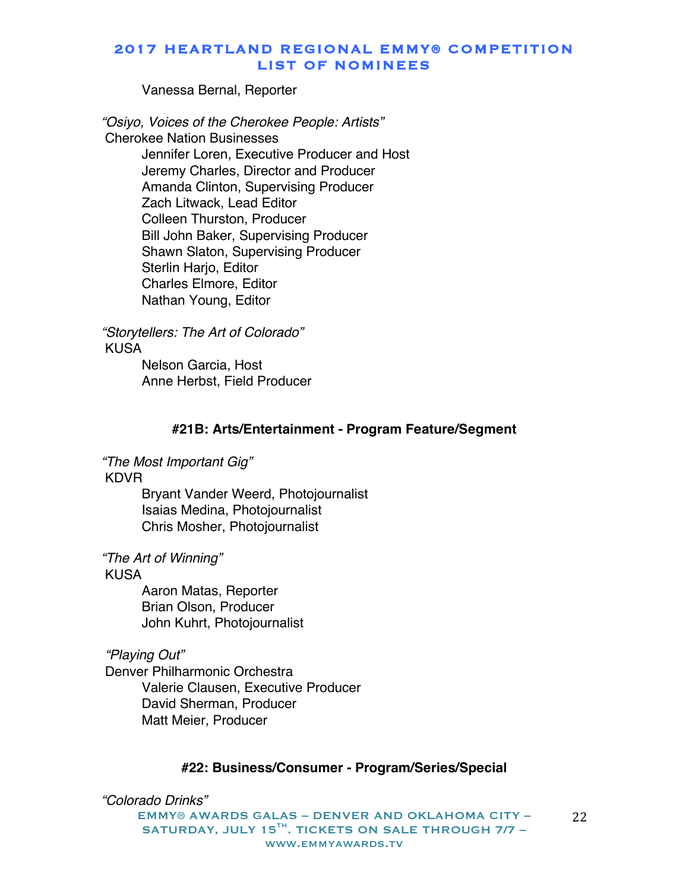Vanessa Bernal, Reporter

*"Osiyo, Voices of the Cherokee People: Artists"* Cherokee Nation Businesses Jennifer Loren, Executive Producer and Host Jeremy Charles, Director and Producer Amanda Clinton, Supervising Producer Zach Litwack, Lead Editor Colleen Thurston, Producer Bill John Baker, Supervising Producer Shawn Slaton, Supervising Producer Sterlin Hario, Editor Charles Elmore, Editor Nathan Young, Editor

*"Storytellers: The Art of Colorado"* KUSA Nelson Garcia, Host Anne Herbst, Field Producer

#### **#21B: Arts/Entertainment - Program Feature/Segment**

*"The Most Important Gig"*

KDVR

Bryant Vander Weerd, Photojournalist Isaias Medina, Photojournalist Chris Mosher, Photojournalist

*"The Art of Winning"*

KUSA

Aaron Matas, Reporter Brian Olson, Producer John Kuhrt, Photojournalist

### *"Playing Out"*

Denver Philharmonic Orchestra Valerie Clausen, Executive Producer David Sherman, Producer Matt Meier, Producer

#### **#22: Business/Consumer - Program/Series/Special**

*"Colorado Drinks"*

EMMY® AWARDS GALAS – DENVER AND OKLAHOMA CITY – SATURDAY, JULY 15 $^{TH}$ . TICKETS ON SALE THROUGH 7/7 www.emmyawards.tv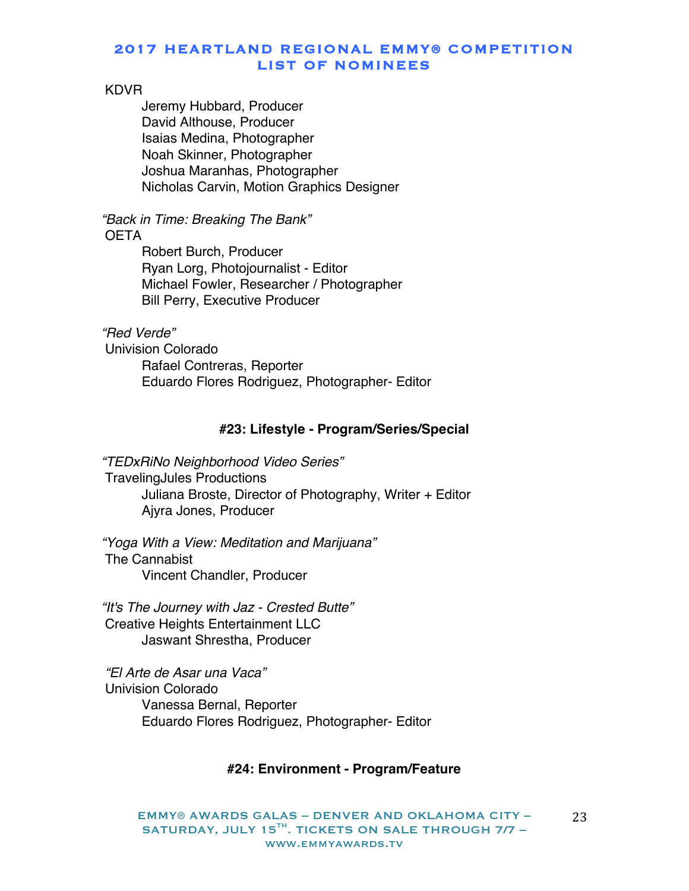#### KDVR

Jeremy Hubbard, Producer David Althouse, Producer Isaias Medina, Photographer Noah Skinner, Photographer Joshua Maranhas, Photographer Nicholas Carvin, Motion Graphics Designer

*"Back in Time: Breaking The Bank"* **OETA** 

> Robert Burch, Producer Ryan Lorg, Photojournalist - Editor Michael Fowler, Researcher / Photographer Bill Perry, Executive Producer

#### *"Red Verde"*

Univision Colorado Rafael Contreras, Reporter Eduardo Flores Rodriguez, Photographer- Editor

#### **#23: Lifestyle - Program/Series/Special**

*"TEDxRiNo Neighborhood Video Series"* TravelingJules Productions Juliana Broste, Director of Photography, Writer + Editor Ajyra Jones, Producer

*"Yoga With a View: Meditation and Marijuana"* The Cannabist Vincent Chandler, Producer

*"It's The Journey with Jaz - Crested Butte"* Creative Heights Entertainment LLC Jaswant Shrestha, Producer

*"El Arte de Asar una Vaca"* Univision Colorado Vanessa Bernal, Reporter Eduardo Flores Rodriguez, Photographer- Editor

# **#24: Environment - Program/Feature**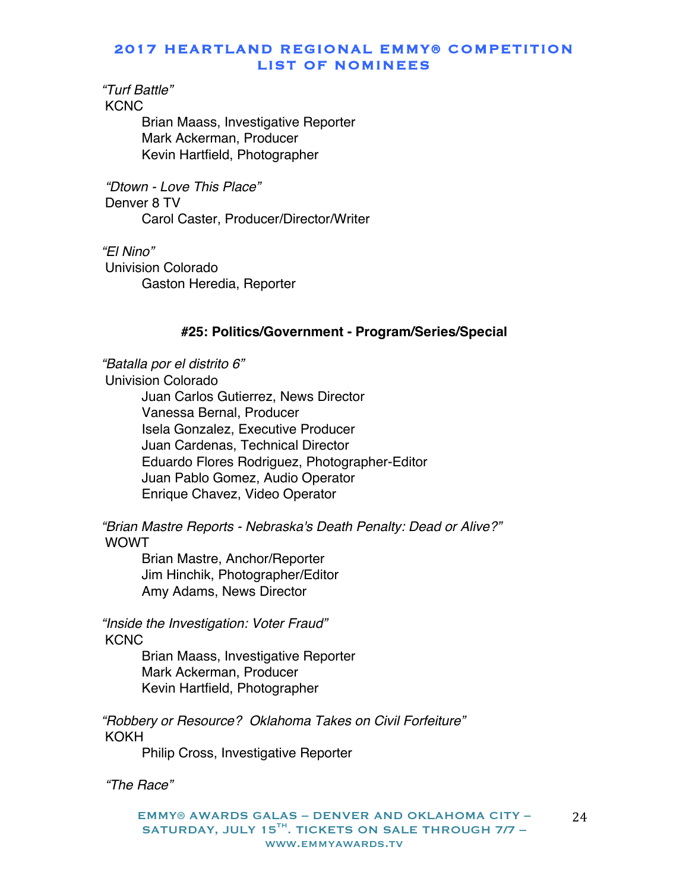*"Turf Battle"*

**KCNC** 

Brian Maass, Investigative Reporter Mark Ackerman, Producer Kevin Hartfield, Photographer

*"Dtown - Love This Place"* Denver 8 TV Carol Caster, Producer/Director/Writer

*"El Nino"* Univision Colorado Gaston Heredia, Reporter

### **#25: Politics/Government - Program/Series/Special**

*"Batalla por el distrito 6"* Univision Colorado Juan Carlos Gutierrez, News Director Vanessa Bernal, Producer Isela Gonzalez, Executive Producer Juan Cardenas, Technical Director Eduardo Flores Rodriguez, Photographer-Editor Juan Pablo Gomez, Audio Operator Enrique Chavez, Video Operator

*"Brian Mastre Reports - Nebraska's Death Penalty: Dead or Alive?"* WOWT

Brian Mastre, Anchor/Reporter Jim Hinchik, Photographer/Editor Amy Adams, News Director

*"Inside the Investigation: Voter Fraud"* **KCNC** 

> Brian Maass, Investigative Reporter Mark Ackerman, Producer Kevin Hartfield, Photographer

*"Robbery or Resource? Oklahoma Takes on Civil Forfeiture"* KOKH

Philip Cross, Investigative Reporter

*"The Race"*

EMMY® AWARDS GALAS – DENVER AND OKLAHOMA CITY – SATURDAY, JULY 15 $^{TH}$ . TICKETS ON SALE THROUGH 7/7 www.emmyawards.tv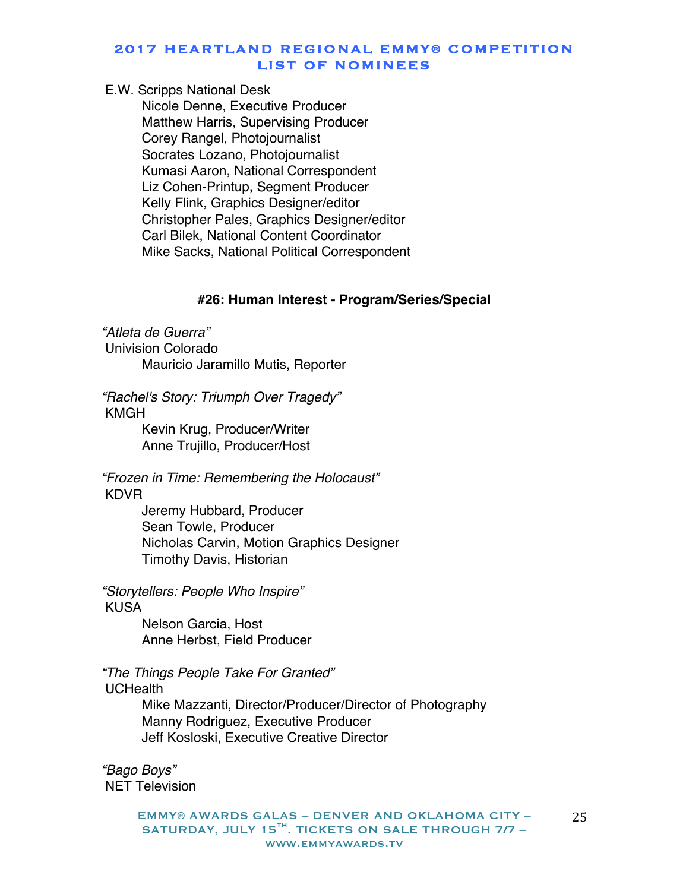#### E.W. Scripps National Desk

Nicole Denne, Executive Producer Matthew Harris, Supervising Producer Corey Rangel, Photojournalist Socrates Lozano, Photojournalist Kumasi Aaron, National Correspondent Liz Cohen-Printup, Segment Producer Kelly Flink, Graphics Designer/editor Christopher Pales, Graphics Designer/editor Carl Bilek, National Content Coordinator Mike Sacks, National Political Correspondent

#### **#26: Human Interest - Program/Series/Special**

*"Atleta de Guerra"*

Univision Colorado

Mauricio Jaramillo Mutis, Reporter

*"Rachel's Story: Triumph Over Tragedy"* KMGH

> Kevin Krug, Producer/Writer Anne Trujillo, Producer/Host

# *"Frozen in Time: Remembering the Holocaust"* KDVR

Jeremy Hubbard, Producer Sean Towle, Producer Nicholas Carvin, Motion Graphics Designer Timothy Davis, Historian

*"Storytellers: People Who Inspire"* KUSA

> Nelson Garcia, Host Anne Herbst, Field Producer

*"The Things People Take For Granted"*

# **UCHealth**

Mike Mazzanti, Director/Producer/Director of Photography Manny Rodriguez, Executive Producer Jeff Kosloski, Executive Creative Director

*"Bago Boys"* NET Television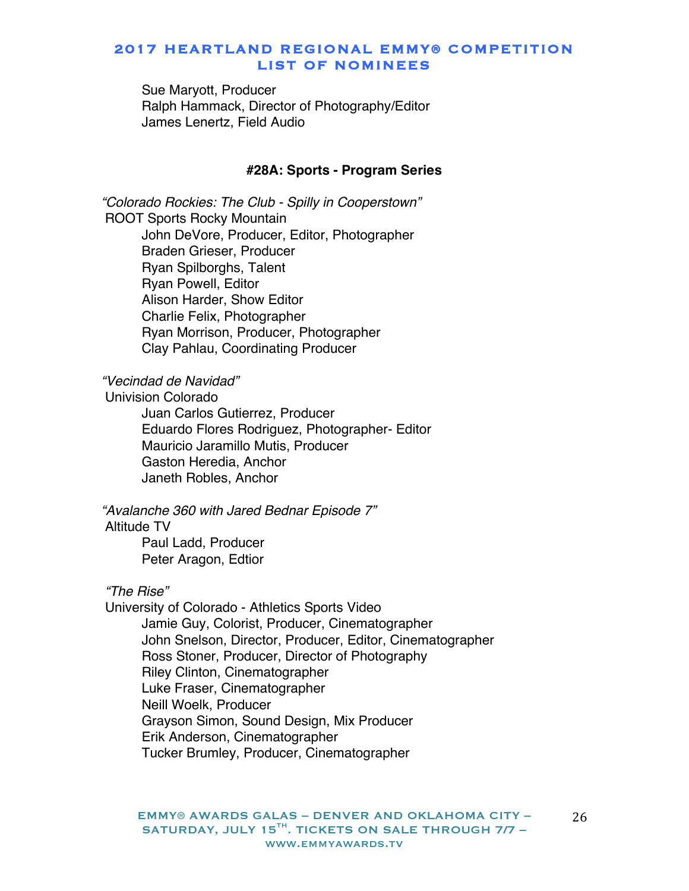Sue Maryott, Producer Ralph Hammack, Director of Photography/Editor James Lenertz, Field Audio

#### **#28A: Sports - Program Series**

*"Colorado Rockies: The Club - Spilly in Cooperstown"* ROOT Sports Rocky Mountain John DeVore, Producer, Editor, Photographer Braden Grieser, Producer Ryan Spilborghs, Talent Ryan Powell, Editor Alison Harder, Show Editor Charlie Felix, Photographer Ryan Morrison, Producer, Photographer Clay Pahlau, Coordinating Producer

*"Vecindad de Navidad"*

Univision Colorado

Juan Carlos Gutierrez, Producer Eduardo Flores Rodriguez, Photographer- Editor Mauricio Jaramillo Mutis, Producer Gaston Heredia, Anchor Janeth Robles, Anchor

*"Avalanche 360 with Jared Bednar Episode 7"*

Altitude TV

Paul Ladd, Producer Peter Aragon, Edtior

*"The Rise"*

University of Colorado - Athletics Sports Video Jamie Guy, Colorist, Producer, Cinematographer John Snelson, Director, Producer, Editor, Cinematographer Ross Stoner, Producer, Director of Photography Riley Clinton, Cinematographer Luke Fraser, Cinematographer Neill Woelk, Producer Grayson Simon, Sound Design, Mix Producer Erik Anderson, Cinematographer Tucker Brumley, Producer, Cinematographer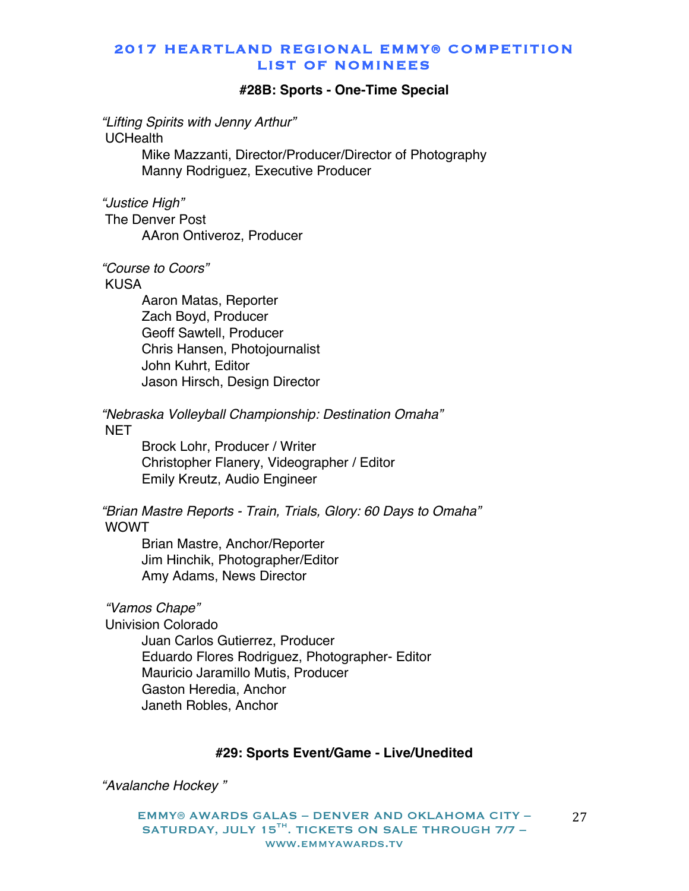#### **#28B: Sports - One-Time Special**

*"Lifting Spirits with Jenny Arthur"*

UCHealth

Mike Mazzanti, Director/Producer/Director of Photography Manny Rodriguez, Executive Producer

*"Justice High"*

The Denver Post AAron Ontiveroz, Producer

*"Course to Coors"*

KUSA

Aaron Matas, Reporter Zach Boyd, Producer Geoff Sawtell, Producer Chris Hansen, Photojournalist John Kuhrt, Editor Jason Hirsch, Design Director

*"Nebraska Volleyball Championship: Destination Omaha"*

**NET** 

Brock Lohr, Producer / Writer Christopher Flanery, Videographer / Editor Emily Kreutz, Audio Engineer

*"Brian Mastre Reports - Train, Trials, Glory: 60 Days to Omaha"* WOWT

Brian Mastre, Anchor/Reporter Jim Hinchik, Photographer/Editor Amy Adams, News Director

*"Vamos Chape"*

Univision Colorado

Juan Carlos Gutierrez, Producer Eduardo Flores Rodriguez, Photographer- Editor Mauricio Jaramillo Mutis, Producer Gaston Heredia, Anchor Janeth Robles, Anchor

# **#29: Sports Event/Game - Live/Unedited**

*"Avalanche Hockey "*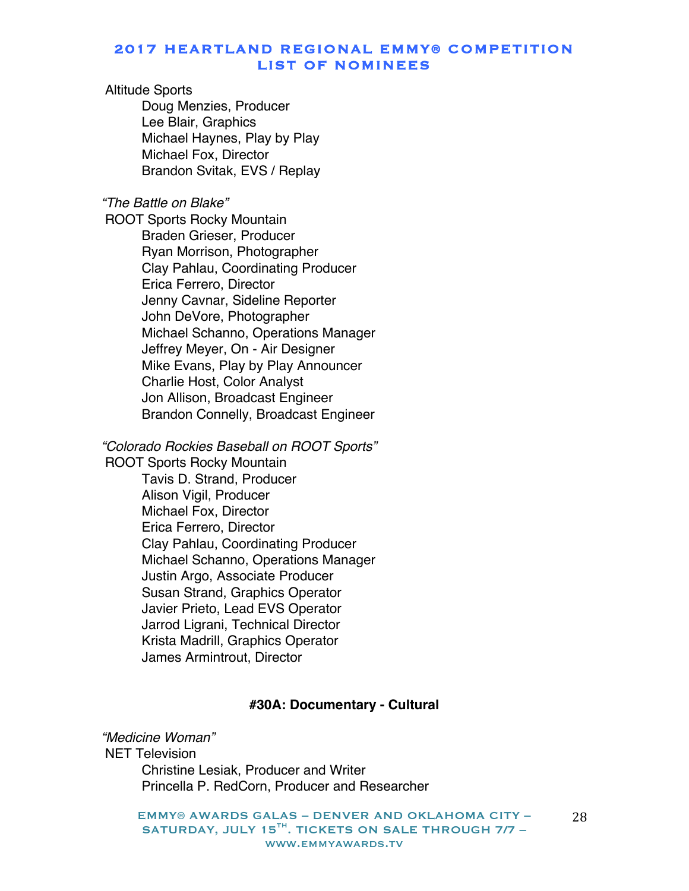# Altitude Sports

Doug Menzies, Producer Lee Blair, Graphics Michael Haynes, Play by Play Michael Fox, Director Brandon Svitak, EVS / Replay

#### *"The Battle on Blake"*

ROOT Sports Rocky Mountain Braden Grieser, Producer Ryan Morrison, Photographer Clay Pahlau, Coordinating Producer Erica Ferrero, Director Jenny Cavnar, Sideline Reporter John DeVore, Photographer Michael Schanno, Operations Manager Jeffrey Meyer, On - Air Designer Mike Evans, Play by Play Announcer Charlie Host, Color Analyst Jon Allison, Broadcast Engineer Brandon Connelly, Broadcast Engineer

# *"Colorado Rockies Baseball on ROOT Sports"*

ROOT Sports Rocky Mountain Tavis D. Strand, Producer Alison Vigil, Producer Michael Fox, Director Erica Ferrero, Director Clay Pahlau, Coordinating Producer Michael Schanno, Operations Manager Justin Argo, Associate Producer Susan Strand, Graphics Operator Javier Prieto, Lead EVS Operator Jarrod Ligrani, Technical Director Krista Madrill, Graphics Operator James Armintrout, Director

# **#30A: Documentary - Cultural**

# *"Medicine Woman"*

NET Television Christine Lesiak, Producer and Writer Princella P. RedCorn, Producer and Researcher

EMMY® AWARDS GALAS – DENVER AND OKLAHOMA CITY – SATURDAY, JULY 15 $^{TH}$ . TICKETS ON SALE THROUGH 7/7 www.emmyawards.tv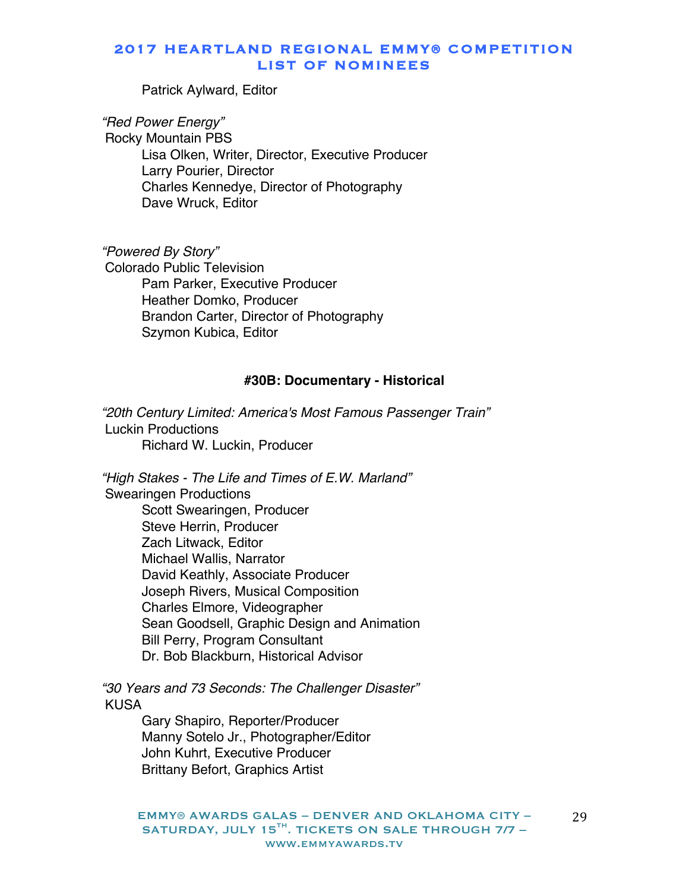Patrick Aylward, Editor

*"Red Power Energy"*

Rocky Mountain PBS Lisa Olken, Writer, Director, Executive Producer Larry Pourier, Director Charles Kennedye, Director of Photography Dave Wruck, Editor

*"Powered By Story"* Colorado Public Television Pam Parker, Executive Producer Heather Domko, Producer Brandon Carter, Director of Photography Szymon Kubica, Editor

### **#30B: Documentary - Historical**

*"20th Century Limited: America's Most Famous Passenger Train"* Luckin Productions Richard W. Luckin, Producer

*"High Stakes - The Life and Times of E.W. Marland"* Swearingen Productions Scott Swearingen, Producer Steve Herrin, Producer Zach Litwack, Editor Michael Wallis, Narrator David Keathly, Associate Producer Joseph Rivers, Musical Composition Charles Elmore, Videographer Sean Goodsell, Graphic Design and Animation Bill Perry, Program Consultant Dr. Bob Blackburn, Historical Advisor

*"30 Years and 73 Seconds: The Challenger Disaster"* KUSA

Gary Shapiro, Reporter/Producer Manny Sotelo Jr., Photographer/Editor John Kuhrt, Executive Producer Brittany Befort, Graphics Artist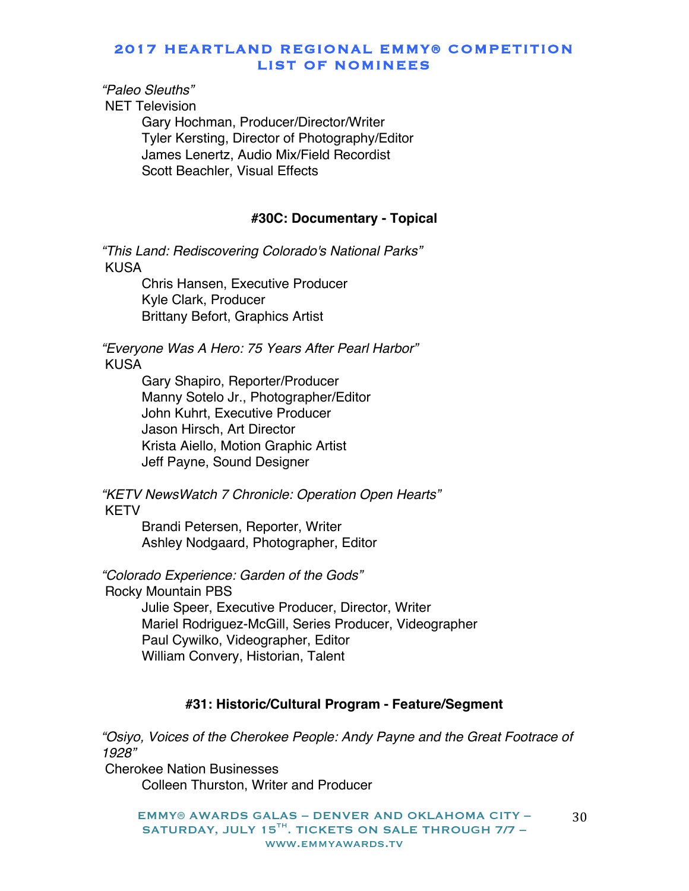# *"Paleo Sleuths"*

NET Television

Gary Hochman, Producer/Director/Writer Tyler Kersting, Director of Photography/Editor James Lenertz, Audio Mix/Field Recordist Scott Beachler, Visual Effects

#### **#30C: Documentary - Topical**

*"This Land: Rediscovering Colorado's National Parks"* KUSA

Chris Hansen, Executive Producer Kyle Clark, Producer Brittany Befort, Graphics Artist

*"Everyone Was A Hero: 75 Years After Pearl Harbor"* KUSA

> Gary Shapiro, Reporter/Producer Manny Sotelo Jr., Photographer/Editor John Kuhrt, Executive Producer Jason Hirsch, Art Director Krista Aiello, Motion Graphic Artist Jeff Payne, Sound Designer

*"KETV NewsWatch 7 Chronicle: Operation Open Hearts"* KETV

> Brandi Petersen, Reporter, Writer Ashley Nodgaard, Photographer, Editor

*"Colorado Experience: Garden of the Gods"*

Rocky Mountain PBS

Julie Speer, Executive Producer, Director, Writer Mariel Rodriguez-McGill, Series Producer, Videographer Paul Cywilko, Videographer, Editor William Convery, Historian, Talent

# **#31: Historic/Cultural Program - Feature/Segment**

*"Osiyo, Voices of the Cherokee People: Andy Payne and the Great Footrace of 1928"* Cherokee Nation Businesses

Colleen Thurston, Writer and Producer

EMMY® AWARDS GALAS – DENVER AND OKLAHOMA CITY – SATURDAY, JULY 15 $^{TH}$ . TICKETS ON SALE THROUGH 7/7 www.emmyawards.tv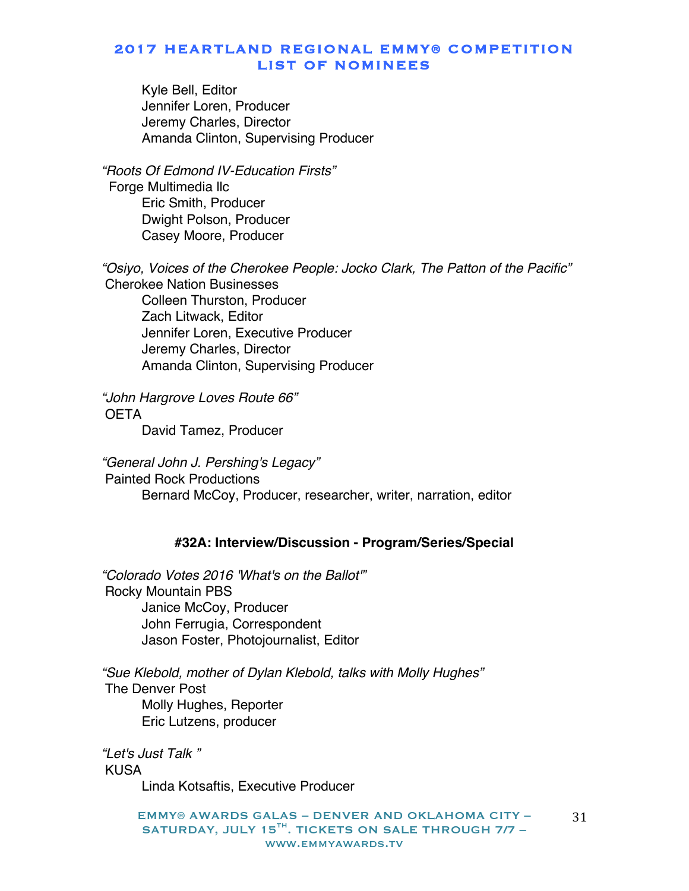Kyle Bell, Editor Jennifer Loren, Producer Jeremy Charles, Director Amanda Clinton, Supervising Producer

*"Roots Of Edmond IV-Education Firsts"* Forge Multimedia llc Eric Smith, Producer Dwight Polson, Producer Casey Moore, Producer

*"Osiyo, Voices of the Cherokee People: Jocko Clark, The Patton of the Pacific"* Cherokee Nation Businesses Colleen Thurston, Producer Zach Litwack, Editor Jennifer Loren, Executive Producer Jeremy Charles, Director Amanda Clinton, Supervising Producer

*"John Hargrove Loves Route 66"* **OFTA** 

David Tamez, Producer

*"General John J. Pershing's Legacy"* Painted Rock Productions Bernard McCoy, Producer, researcher, writer, narration, editor

#### **#32A: Interview/Discussion - Program/Series/Special**

*"Colorado Votes 2016 'What's on the Ballot'"* Rocky Mountain PBS Janice McCoy, Producer John Ferrugia, Correspondent Jason Foster, Photojournalist, Editor

*"Sue Klebold, mother of Dylan Klebold, talks with Molly Hughes"* The Denver Post Molly Hughes, Reporter Eric Lutzens, producer

*"Let's Just Talk "* KUSA Linda Kotsaftis, Executive Producer

> EMMY® AWARDS GALAS – DENVER AND OKLAHOMA CITY – SATURDAY, JULY 15 $^{TH}$ . TICKETS ON SALE THROUGH 7/7 www.emmyawards.tv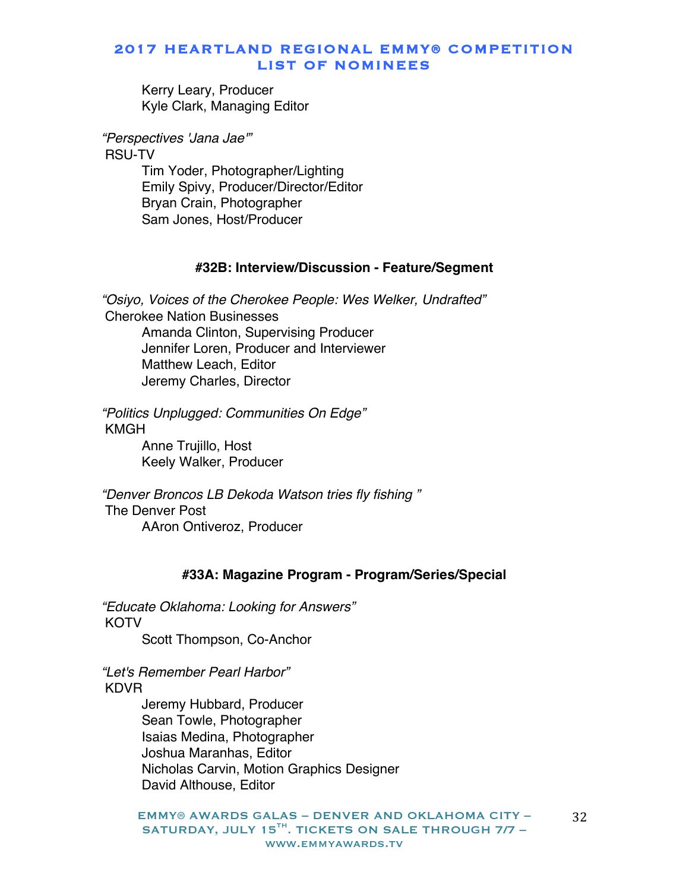Kerry Leary, Producer Kyle Clark, Managing Editor

*"Perspectives 'Jana Jae'"*

RSU-TV Tim Yoder, Photographer/Lighting Emily Spivy, Producer/Director/Editor Bryan Crain, Photographer Sam Jones, Host/Producer

#### **#32B: Interview/Discussion - Feature/Segment**

*"Osiyo, Voices of the Cherokee People: Wes Welker, Undrafted"* Cherokee Nation Businesses Amanda Clinton, Supervising Producer Jennifer Loren, Producer and Interviewer Matthew Leach, Editor Jeremy Charles, Director

*"Politics Unplugged: Communities On Edge"* KMGH Anne Trujillo, Host

Keely Walker, Producer

*"Denver Broncos LB Dekoda Watson tries fly fishing "* The Denver Post AAron Ontiveroz, Producer

#### **#33A: Magazine Program - Program/Series/Special**

*"Educate Oklahoma: Looking for Answers"* **KOTV** Scott Thompson, Co-Anchor

*"Let's Remember Pearl Harbor"* KDVR

> Jeremy Hubbard, Producer Sean Towle, Photographer Isaias Medina, Photographer Joshua Maranhas, Editor Nicholas Carvin, Motion Graphics Designer David Althouse, Editor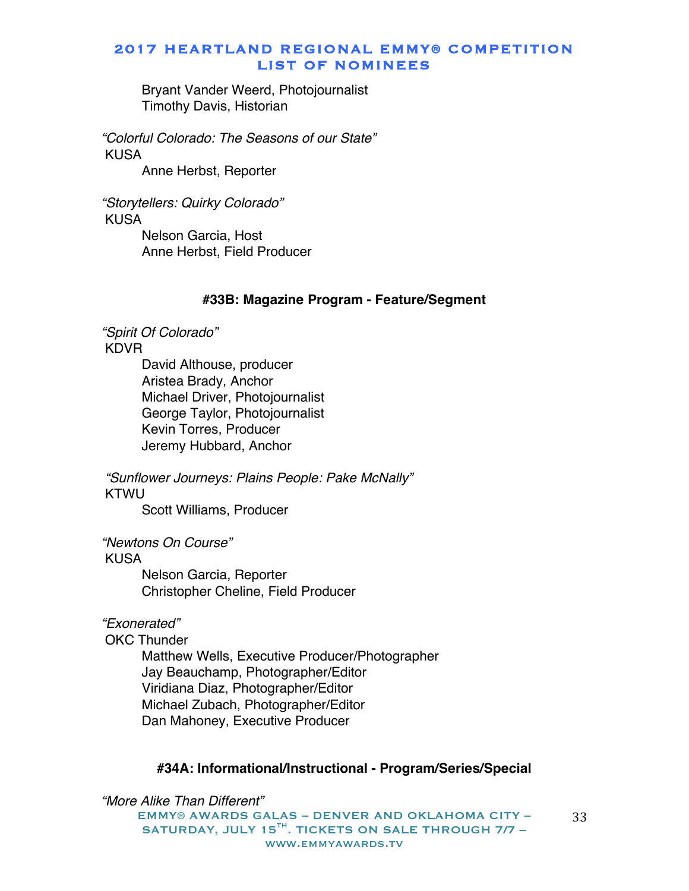Bryant Vander Weerd, Photojournalist Timothy Davis, Historian

*"Colorful Colorado: The Seasons of our State"* KUSA

Anne Herbst, Reporter

*"Storytellers: Quirky Colorado"* KUSA

> Nelson Garcia, Host Anne Herbst, Field Producer

### **#33B: Magazine Program - Feature/Segment**

*"Spirit Of Colorado"*

KDVR

David Althouse, producer Aristea Brady, Anchor Michael Driver, Photojournalist George Taylor, Photojournalist Kevin Torres, Producer Jeremy Hubbard, Anchor

*"Sunflower Journeys: Plains People: Pake McNally"* KTWU

Scott Williams, Producer

*"Newtons On Course"*

KUSA

Nelson Garcia, Reporter Christopher Cheline, Field Producer

# *"Exonerated"*

OKC Thunder

Matthew Wells, Executive Producer/Photographer Jay Beauchamp, Photographer/Editor Viridiana Diaz, Photographer/Editor Michael Zubach, Photographer/Editor Dan Mahoney, Executive Producer

# **#34A: Informational/Instructional - Program/Series/Special**

EMMY® AWARDS GALAS – DENVER AND OKLAHOMA CITY – SATURDAY, JULY 15 $^{TH}$ . TICKETS ON SALE THROUGH 7/7 www.emmyawards.tv *"More Alike Than Different"*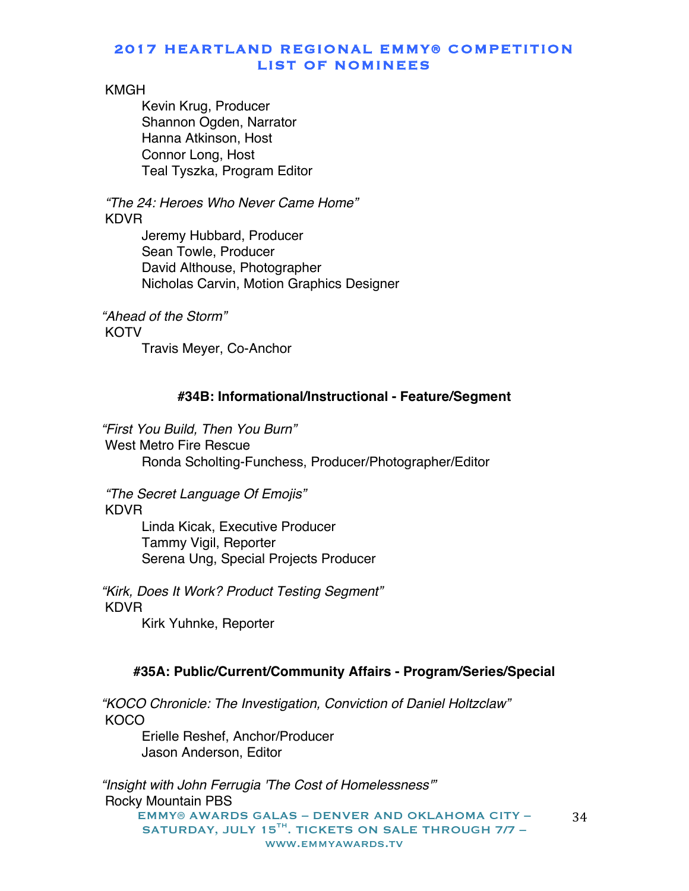### KMGH

Kevin Krug, Producer Shannon Ogden, Narrator Hanna Atkinson, Host Connor Long, Host Teal Tyszka, Program Editor

*"The 24: Heroes Who Never Came Home"* **KDVR** 

> Jeremy Hubbard, Producer Sean Towle, Producer David Althouse, Photographer Nicholas Carvin, Motion Graphics Designer

*"Ahead of the Storm"* **KOTV** Travis Meyer, Co-Anchor

# **#34B: Informational/Instructional - Feature/Segment**

*"First You Build, Then You Burn"* West Metro Fire Rescue Ronda Scholting-Funchess, Producer/Photographer/Editor

*"The Secret Language Of Emojis"* KDVR

> Linda Kicak, Executive Producer Tammy Vigil, Reporter Serena Ung, Special Projects Producer

*"Kirk, Does It Work? Product Testing Segment"* KDVR

Kirk Yuhnke, Reporter

# **#35A: Public/Current/Community Affairs - Program/Series/Special**

*"KOCO Chronicle: The Investigation, Conviction of Daniel Holtzclaw"* **KOCO** 

Erielle Reshef, Anchor/Producer Jason Anderson, Editor

EMMY® AWARDS GALAS – DENVER AND OKLAHOMA CITY – SATURDAY, JULY 15 $^{TH}$ . TICKETS ON SALE THROUGH 7/7 www.emmyawards.tv 34 *"Insight with John Ferrugia 'The Cost of Homelessness'"* Rocky Mountain PBS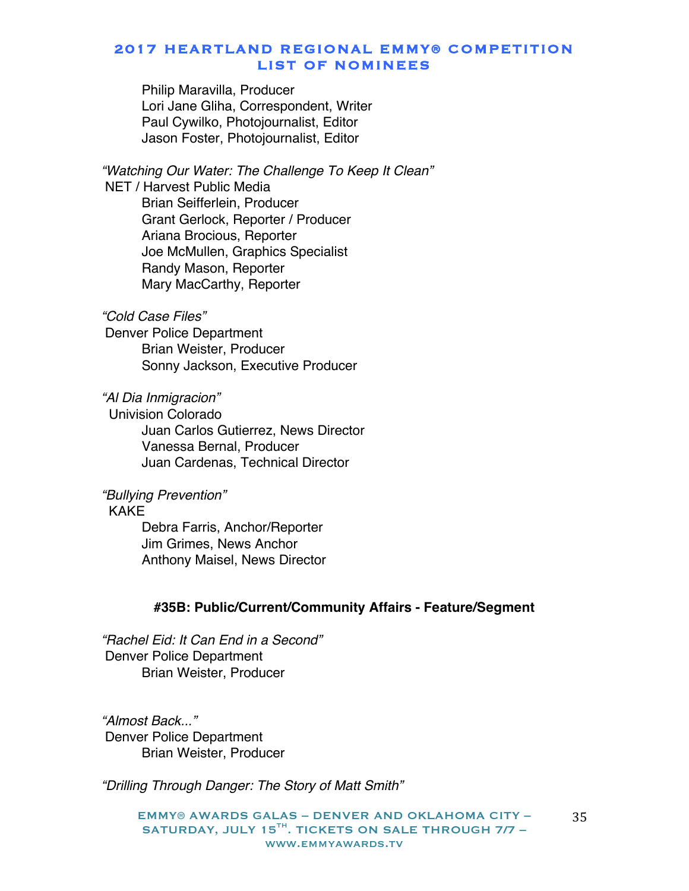Philip Maravilla, Producer Lori Jane Gliha, Correspondent, Writer Paul Cywilko, Photojournalist, Editor Jason Foster, Photojournalist, Editor

*"Watching Our Water: The Challenge To Keep It Clean"* NET / Harvest Public Media Brian Seifferlein, Producer Grant Gerlock, Reporter / Producer Ariana Brocious, Reporter Joe McMullen, Graphics Specialist Randy Mason, Reporter Mary MacCarthy, Reporter

# *"Cold Case Files"*

Denver Police Department Brian Weister, Producer Sonny Jackson, Executive Producer

*"Al Dia Inmigracion"*

 Univision Colorado Juan Carlos Gutierrez, News Director Vanessa Bernal, Producer Juan Cardenas, Technical Director

# *"Bullying Prevention"*

#### KAKE

Debra Farris, Anchor/Reporter Jim Grimes, News Anchor Anthony Maisel, News Director

### **#35B: Public/Current/Community Affairs - Feature/Segment**

*"Rachel Eid: It Can End in a Second"* Denver Police Department Brian Weister, Producer

*"Almost Back..."* Denver Police Department Brian Weister, Producer

*"Drilling Through Danger: The Story of Matt Smith"*

EMMY® AWARDS GALAS – DENVER AND OKLAHOMA CITY – SATURDAY, JULY 15 $^{TH}$ . TICKETS ON SALE THROUGH 7/7 www.emmyawards.tv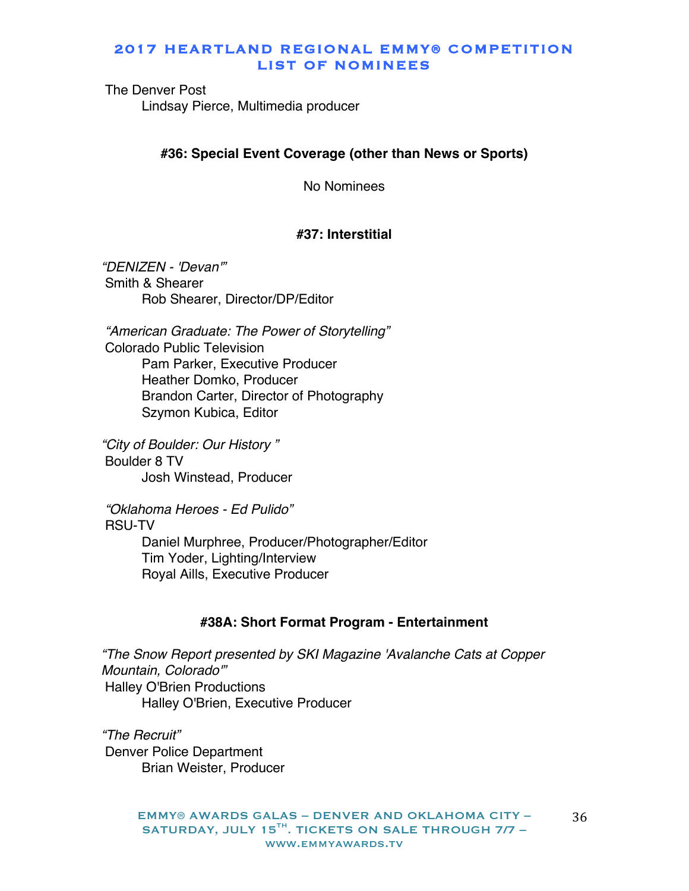The Denver Post Lindsay Pierce, Multimedia producer

### **#36: Special Event Coverage (other than News or Sports)**

No Nominees

#### **#37: Interstitial**

*"DENIZEN - 'Devan'"* Smith & Shearer Rob Shearer, Director/DP/Editor

*"American Graduate: The Power of Storytelling"* Colorado Public Television Pam Parker, Executive Producer Heather Domko, Producer Brandon Carter, Director of Photography Szymon Kubica, Editor

*"City of Boulder: Our History "* Boulder 8 TV Josh Winstead, Producer

*"Oklahoma Heroes - Ed Pulido"* RSU-TV Daniel Murphree, Producer/Photographer/Editor Tim Yoder, Lighting/Interview Royal Aills, Executive Producer

#### **#38A: Short Format Program - Entertainment**

*"The Snow Report presented by SKI Magazine 'Avalanche Cats at Copper Mountain, Colorado'"* Halley O'Brien Productions Halley O'Brien, Executive Producer

*"The Recruit"* Denver Police Department Brian Weister, Producer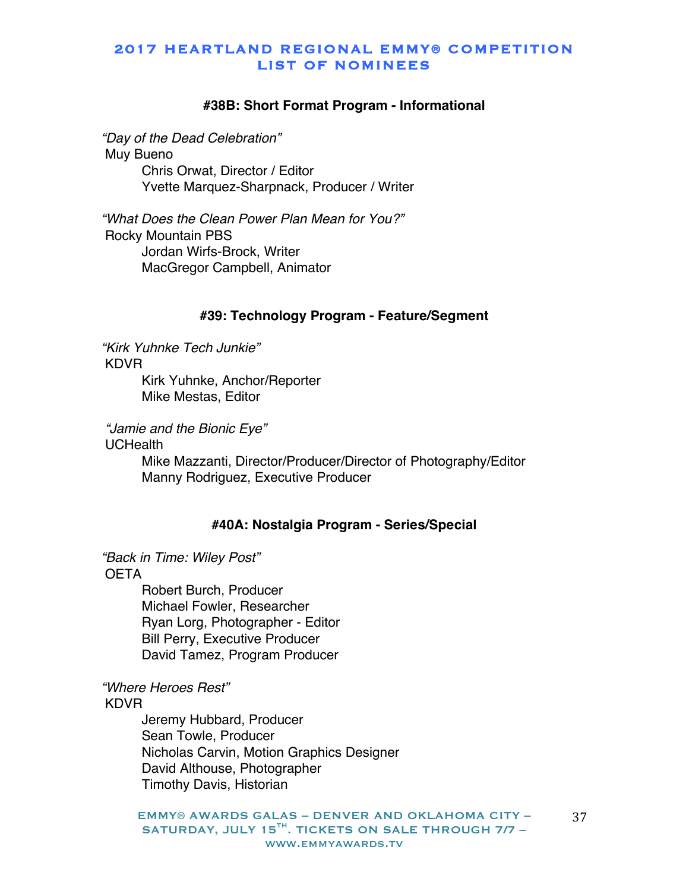#### **#38B: Short Format Program - Informational**

*"Day of the Dead Celebration"* Muy Bueno Chris Orwat, Director / Editor Yvette Marquez-Sharpnack, Producer / Writer

*"What Does the Clean Power Plan Mean for You?"* Rocky Mountain PBS Jordan Wirfs-Brock, Writer MacGregor Campbell, Animator

#### **#39: Technology Program - Feature/Segment**

*"Kirk Yuhnke Tech Junkie"* KDVR Kirk Yuhnke, Anchor/Reporter Mike Mestas, Editor

*"Jamie and the Bionic Eye"*

**UCHealth** 

Mike Mazzanti, Director/Producer/Director of Photography/Editor Manny Rodriguez, Executive Producer

#### **#40A: Nostalgia Program - Series/Special**

*"Back in Time: Wiley Post"*

**OETA** 

Robert Burch, Producer Michael Fowler, Researcher Ryan Lorg, Photographer - Editor Bill Perry, Executive Producer David Tamez, Program Producer

# *"Where Heroes Rest"*

KDVR

Jeremy Hubbard, Producer Sean Towle, Producer Nicholas Carvin, Motion Graphics Designer David Althouse, Photographer Timothy Davis, Historian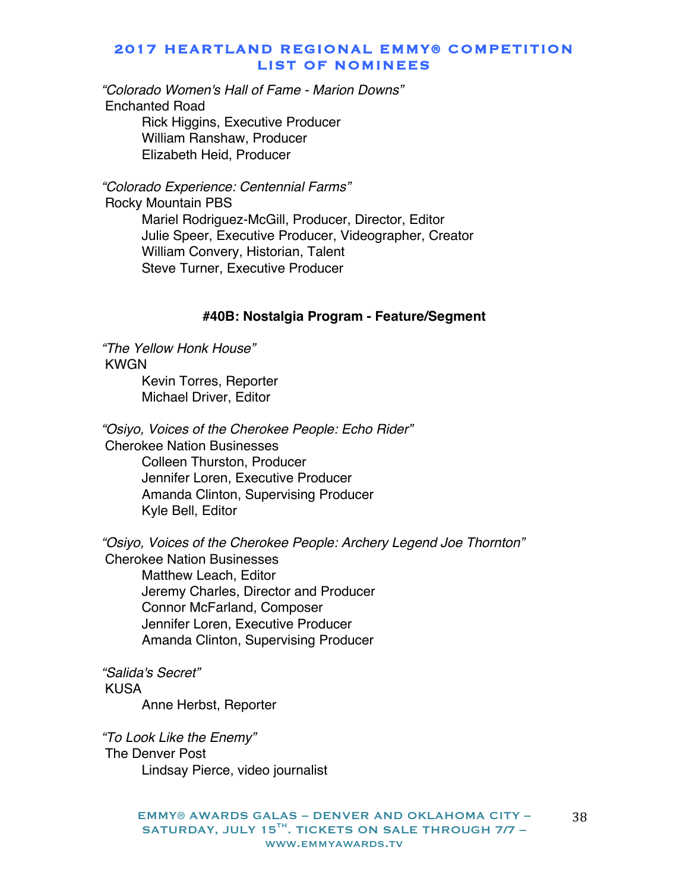*"Colorado Women's Hall of Fame - Marion Downs"* Enchanted Road Rick Higgins, Executive Producer William Ranshaw, Producer

Elizabeth Heid, Producer

*"Colorado Experience: Centennial Farms"* Rocky Mountain PBS

> Mariel Rodriguez-McGill, Producer, Director, Editor Julie Speer, Executive Producer, Videographer, Creator William Convery, Historian, Talent Steve Turner, Executive Producer

#### **#40B: Nostalgia Program - Feature/Segment**

*"The Yellow Honk House"* KWGN Kevin Torres, Reporter Michael Driver, Editor

*"Osiyo, Voices of the Cherokee People: Echo Rider"* Cherokee Nation Businesses Colleen Thurston, Producer Jennifer Loren, Executive Producer Amanda Clinton, Supervising Producer Kyle Bell, Editor

*"Osiyo, Voices of the Cherokee People: Archery Legend Joe Thornton"* Cherokee Nation Businesses Matthew Leach, Editor Jeremy Charles, Director and Producer Connor McFarland, Composer Jennifer Loren, Executive Producer Amanda Clinton, Supervising Producer

*"Salida's Secret"* KUSA Anne Herbst, Reporter

*"To Look Like the Enemy"* The Denver Post Lindsay Pierce, video journalist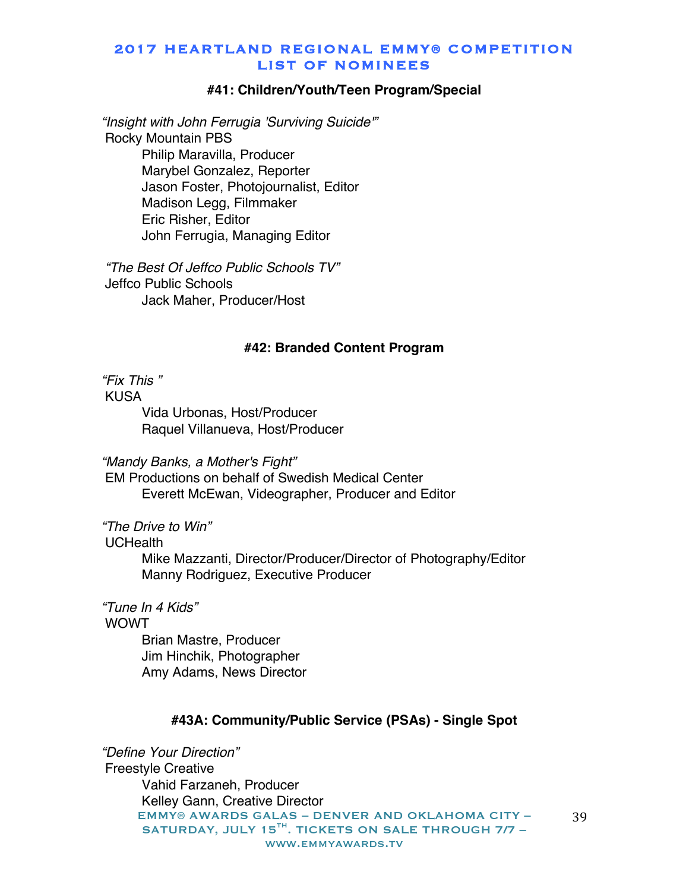#### **#41: Children/Youth/Teen Program/Special**

*"Insight with John Ferrugia 'Surviving Suicide'"* Rocky Mountain PBS Philip Maravilla, Producer Marybel Gonzalez, Reporter Jason Foster, Photojournalist, Editor Madison Legg, Filmmaker Eric Risher, Editor John Ferrugia, Managing Editor

*"The Best Of Jeffco Public Schools TV"* Jeffco Public Schools Jack Maher, Producer/Host

#### **#42: Branded Content Program**

*"Fix This "*

KUSA Vida Urbonas, Host/Producer Raquel Villanueva, Host/Producer

*"Mandy Banks, a Mother's Fight"*

EM Productions on behalf of Swedish Medical Center Everett McEwan, Videographer, Producer and Editor

*"The Drive to Win"*

UCHealth

Mike Mazzanti, Director/Producer/Director of Photography/Editor Manny Rodriguez, Executive Producer

*"Tune In 4 Kids"* WOWT Brian Mastre, Producer Jim Hinchik, Photographer

Amy Adams, News Director

#### **#43A: Community/Public Service (PSAs) - Single Spot**

EMMY® AWARDS GALAS – DENVER AND OKLAHOMA CITY – SATURDAY, JULY 15<sup>TH</sup>. TICKETS ON SALE THROUGH 7/7 www.emmyawards.tv *"Define Your Direction"* Freestyle Creative Vahid Farzaneh, Producer Kelley Gann, Creative Director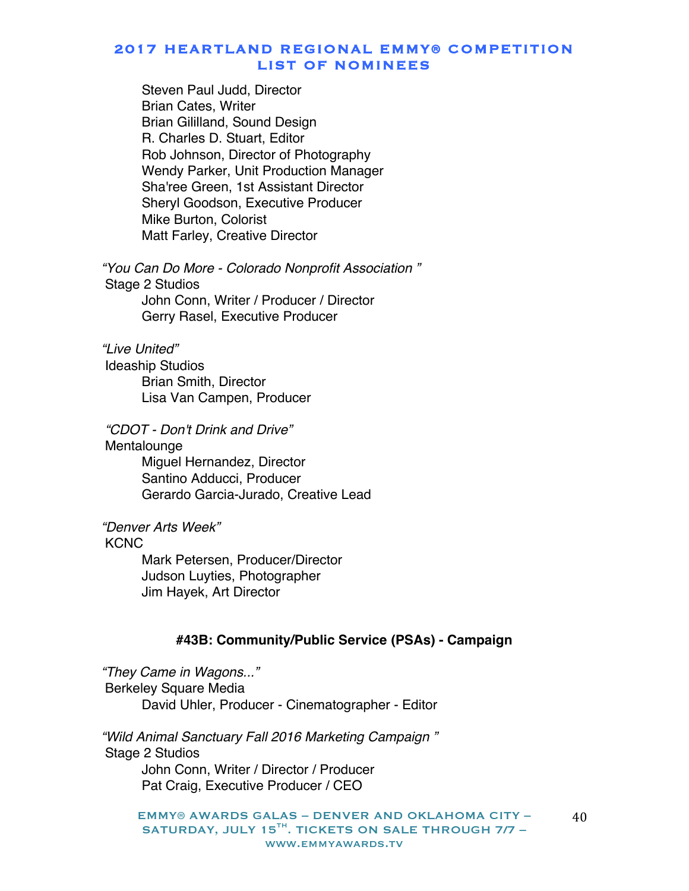Steven Paul Judd, Director Brian Cates, Writer Brian Gililland, Sound Design R. Charles D. Stuart, Editor Rob Johnson, Director of Photography Wendy Parker, Unit Production Manager Sha'ree Green, 1st Assistant Director Sheryl Goodson, Executive Producer Mike Burton, Colorist Matt Farley, Creative Director

*"You Can Do More - Colorado Nonprofit Association "* Stage 2 Studios John Conn, Writer / Producer / Director Gerry Rasel, Executive Producer

*"Live United"*

Ideaship Studios Brian Smith, Director Lisa Van Campen, Producer

*"CDOT - Don't Drink and Drive"*

Mentalounge Miguel Hernandez, Director Santino Adducci, Producer Gerardo Garcia-Jurado, Creative Lead

*"Denver Arts Week"*

#### KCNC

Mark Petersen, Producer/Director Judson Luyties, Photographer Jim Hayek, Art Director

### **#43B: Community/Public Service (PSAs) - Campaign**

*"They Came in Wagons..."* Berkeley Square Media David Uhler, Producer - Cinematographer - Editor

*"Wild Animal Sanctuary Fall 2016 Marketing Campaign "* Stage 2 Studios John Conn, Writer / Director / Producer Pat Craig, Executive Producer / CEO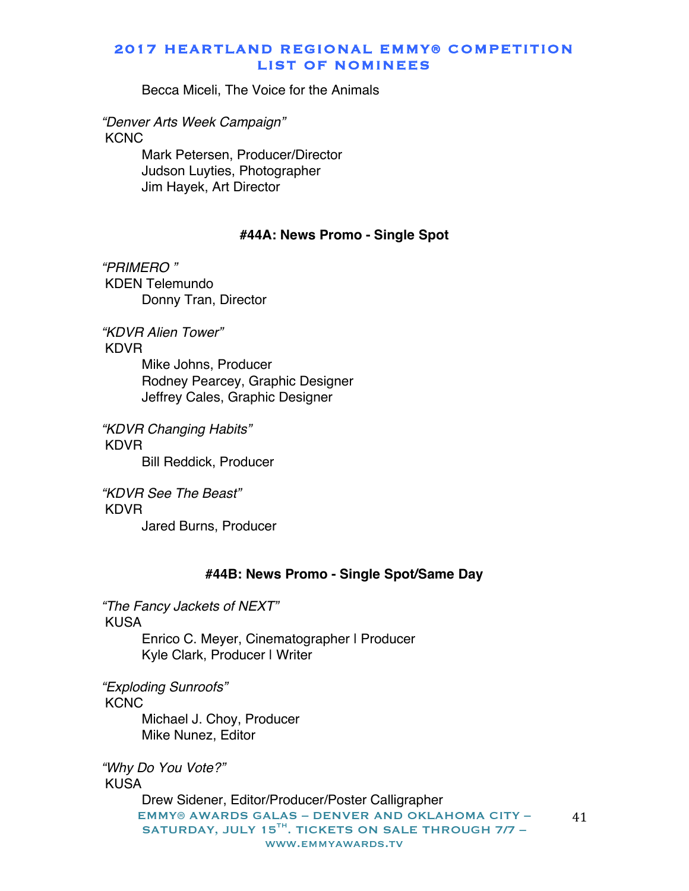Becca Miceli, The Voice for the Animals

*"Denver Arts Week Campaign"* **KCNC** 

> Mark Petersen, Producer/Director Judson Luyties, Photographer Jim Hayek, Art Director

#### **#44A: News Promo - Single Spot**

*"PRIMERO "* KDEN Telemundo Donny Tran, Director

*"KDVR Alien Tower"* KDVR Mike Johns, Producer Rodney Pearcey, Graphic Designer Jeffrey Cales, Graphic Designer

*"KDVR Changing Habits"* KDVR Bill Reddick, Producer

*"KDVR See The Beast"* KDVR Jared Burns, Producer

#### **#44B: News Promo - Single Spot/Same Day**

*"The Fancy Jackets of NEXT"* KUSA

Enrico C. Meyer, Cinematographer | Producer Kyle Clark, Producer | Writer

*"Exploding Sunroofs"*

**KCNC** 

Michael J. Choy, Producer Mike Nunez, Editor

*"Why Do You Vote?"* KUSA

> EMMY® AWARDS GALAS – DENVER AND OKLAHOMA CITY – SATURDAY, JULY 15 $^{TH}$ . TICKETS ON SALE THROUGH 7/7 www.emmyawards.tv Drew Sidener, Editor/Producer/Poster Calligrapher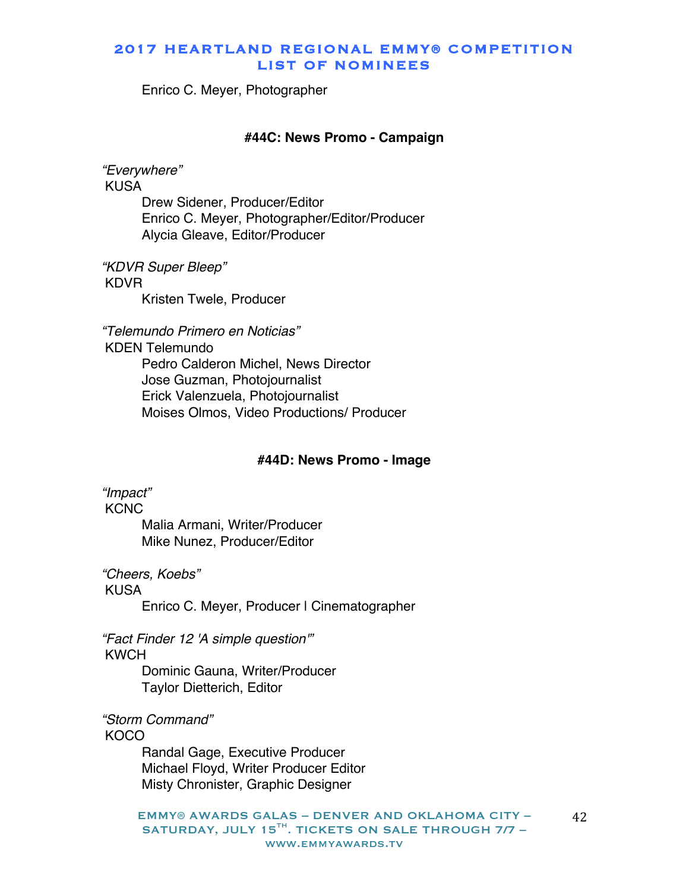Enrico C. Meyer, Photographer

#### **#44C: News Promo - Campaign**

*"Everywhere"* KUSA

> Drew Sidener, Producer/Editor Enrico C. Meyer, Photographer/Editor/Producer Alycia Gleave, Editor/Producer

*"KDVR Super Bleep"* KDVR Kristen Twele, Producer

*"Telemundo Primero en Noticias"*

KDEN Telemundo Pedro Calderon Michel, News Director Jose Guzman, Photojournalist Erick Valenzuela, Photojournalist Moises Olmos, Video Productions/ Producer

#### **#44D: News Promo - Image**

*"Impact"* **KCNC** Malia Armani, Writer/Producer Mike Nunez, Producer/Editor

*"Cheers, Koebs"* KUSA Enrico C. Meyer, Producer I Cinematographer

*"Fact Finder 12 'A simple question'"* KWCH

> Dominic Gauna, Writer/Producer Taylor Dietterich, Editor

*"Storm Command"*

**KOCO** 

Randal Gage, Executive Producer Michael Floyd, Writer Producer Editor Misty Chronister, Graphic Designer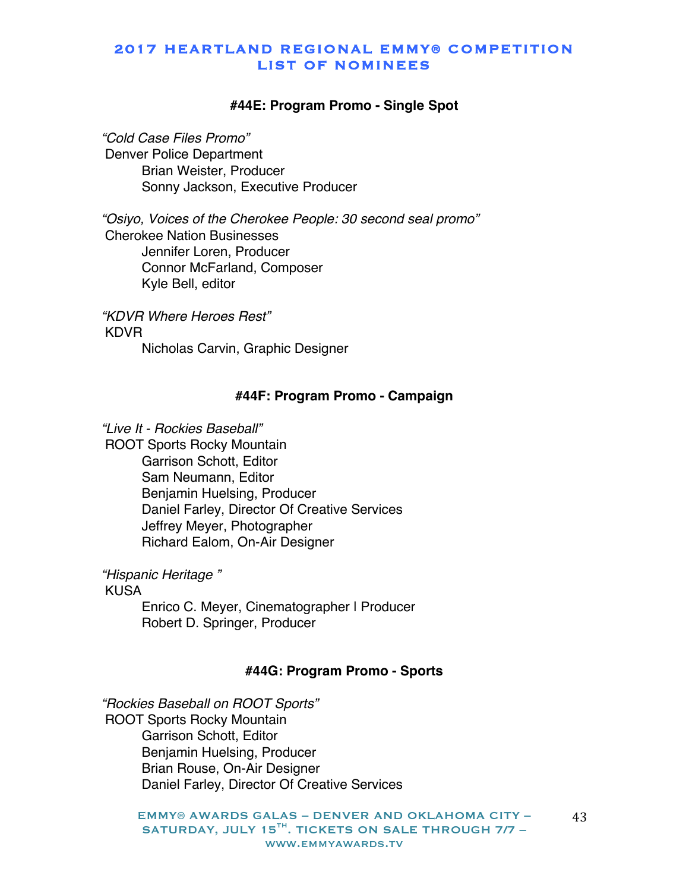#### **#44E: Program Promo - Single Spot**

*"Cold Case Files Promo"* Denver Police Department Brian Weister, Producer Sonny Jackson, Executive Producer

*"Osiyo, Voices of the Cherokee People: 30 second seal promo"* Cherokee Nation Businesses Jennifer Loren, Producer Connor McFarland, Composer Kyle Bell, editor

*"KDVR Where Heroes Rest"* KDVR Nicholas Carvin, Graphic Designer

#### **#44F: Program Promo - Campaign**

*"Live It - Rockies Baseball"*

ROOT Sports Rocky Mountain Garrison Schott, Editor Sam Neumann, Editor Benjamin Huelsing, Producer Daniel Farley, Director Of Creative Services Jeffrey Meyer, Photographer Richard Ealom, On-Air Designer

*"Hispanic Heritage "*

KUSA

Enrico C. Meyer, Cinematographer | Producer Robert D. Springer, Producer

#### **#44G: Program Promo - Sports**

*"Rockies Baseball on ROOT Sports"* ROOT Sports Rocky Mountain Garrison Schott, Editor Benjamin Huelsing, Producer Brian Rouse, On-Air Designer Daniel Farley, Director Of Creative Services

> EMMY® AWARDS GALAS – DENVER AND OKLAHOMA CITY – SATURDAY, JULY 15 $^{TH}$ . TICKETS ON SALE THROUGH 7/7 www.emmyawards.tv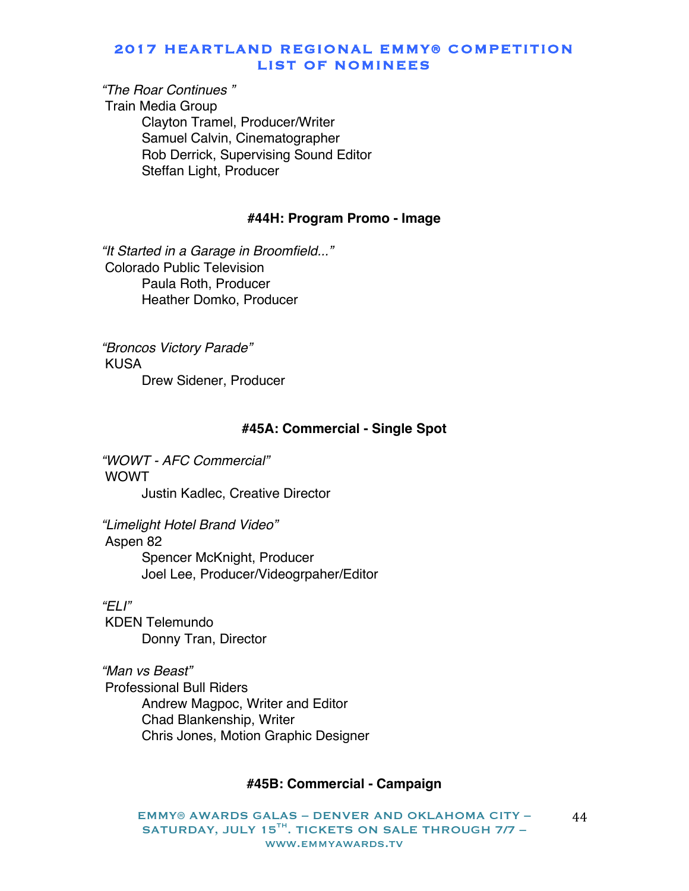# *"The Roar Continues "*

Train Media Group Clayton Tramel, Producer/Writer Samuel Calvin, Cinematographer Rob Derrick, Supervising Sound Editor Steffan Light, Producer

#### **#44H: Program Promo - Image**

*"It Started in a Garage in Broomfield..."* Colorado Public Television Paula Roth, Producer Heather Domko, Producer

*"Broncos Victory Parade"* KUSA Drew Sidener, Producer

#### **#45A: Commercial - Single Spot**

*"WOWT - AFC Commercial"* WOWT Justin Kadlec, Creative Director

*"Limelight Hotel Brand Video"* Aspen 82 Spencer McKnight, Producer Joel Lee, Producer/Videogrpaher/Editor

*"ELI"* KDEN Telemundo Donny Tran, Director

*"Man vs Beast"* Professional Bull Riders Andrew Magpoc, Writer and Editor Chad Blankenship, Writer Chris Jones, Motion Graphic Designer

#### **#45B: Commercial - Campaign**

EMMY® AWARDS GALAS – DENVER AND OKLAHOMA CITY – SATURDAY, JULY 15<sup>TH</sup>. TICKETS ON SALE THROUGH 7/7 www.emmyawards.tv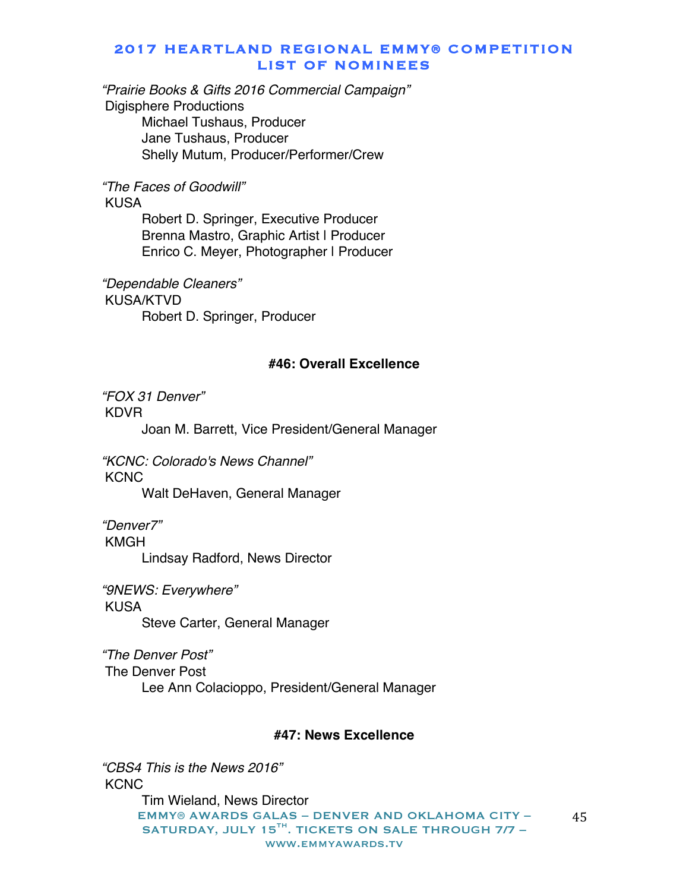*"Prairie Books & Gifts 2016 Commercial Campaign"* Digisphere Productions Michael Tushaus, Producer Jane Tushaus, Producer Shelly Mutum, Producer/Performer/Crew

*"The Faces of Goodwill"*

KUSA

Robert D. Springer, Executive Producer Brenna Mastro, Graphic Artist | Producer Enrico C. Meyer, Photographer | Producer

*"Dependable Cleaners"* KUSA/KTVD Robert D. Springer, Producer

#### **#46: Overall Excellence**

*"FOX 31 Denver"* KDVR

Joan M. Barrett, Vice President/General Manager

*"KCNC: Colorado's News Channel"* **KCNC** 

Walt DeHaven, General Manager

*"Denver7"*

KMGH

Lindsay Radford, News Director

*"9NEWS: Everywhere"* KUSA Steve Carter, General Manager

*"The Denver Post"* The Denver Post Lee Ann Colacioppo, President/General Manager

#### **#47: News Excellence**

EMMY® AWARDS GALAS – DENVER AND OKLAHOMA CITY – SATURDAY, JULY 15 $^{TH}$ . TICKETS ON SALE THROUGH 7/7 www.emmyawards.tv 45 *"CBS4 This is the News 2016"* KCNC Tim Wieland, News Director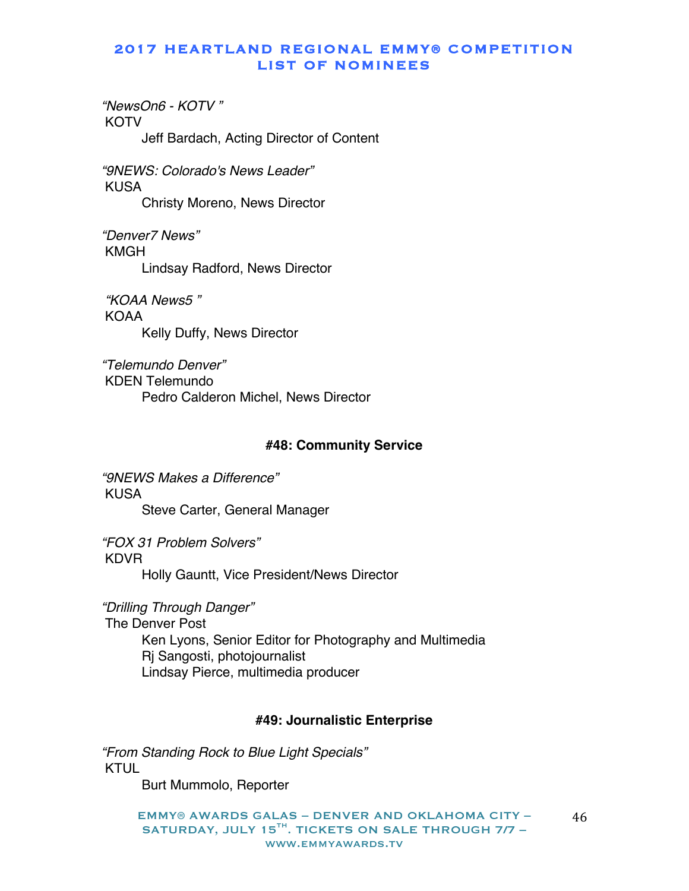*"NewsOn6 - KOTV "* **KOTV** Jeff Bardach, Acting Director of Content

*"9NEWS: Colorado's News Leader"* KUSA Christy Moreno, News Director

*"Denver7 News"* KMGH Lindsay Radford, News Director

*"KOAA News5 "* KOAA Kelly Duffy, News Director

*"Telemundo Denver"* KDEN Telemundo Pedro Calderon Michel, News Director

#### **#48: Community Service**

*"9NEWS Makes a Difference"* KUSA Steve Carter, General Manager

*"FOX 31 Problem Solvers"* KDVR

Holly Gauntt, Vice President/News Director

*"Drilling Through Danger"* The Denver Post Ken Lyons, Senior Editor for Photography and Multimedia Rj Sangosti, photojournalist Lindsay Pierce, multimedia producer

#### **#49: Journalistic Enterprise**

*"From Standing Rock to Blue Light Specials"* KTUL

Burt Mummolo, Reporter

EMMY® AWARDS GALAS – DENVER AND OKLAHOMA CITY – SATURDAY, JULY 15 $^{TH}$ . TICKETS ON SALE THROUGH 7/7 www.emmyawards.tv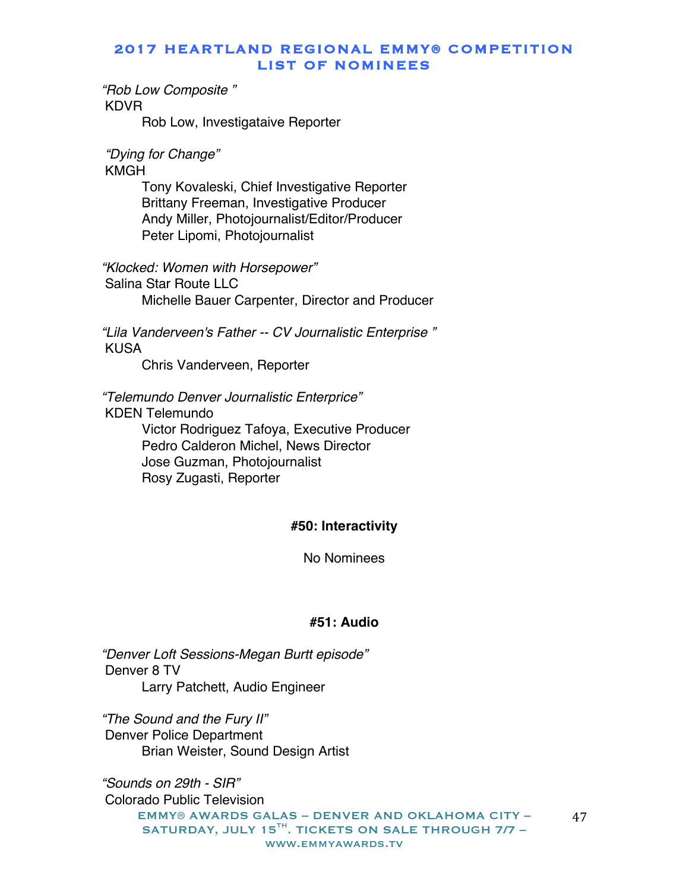*"Rob Low Composite "* KDVR

Rob Low, Investigataive Reporter

*"Dying for Change"*

KMGH

Tony Kovaleski, Chief Investigative Reporter Brittany Freeman, Investigative Producer Andy Miller, Photojournalist/Editor/Producer Peter Lipomi, Photojournalist

*"Klocked: Women with Horsepower"*

Salina Star Route LLC Michelle Bauer Carpenter, Director and Producer

*"Lila Vanderveen's Father -- CV Journalistic Enterprise "* KUSA

Chris Vanderveen, Reporter

*"Telemundo Denver Journalistic Enterprice"*

KDEN Telemundo

Victor Rodriguez Tafoya, Executive Producer Pedro Calderon Michel, News Director Jose Guzman, Photojournalist Rosy Zugasti, Reporter

# **#50: Interactivity**

No Nominees

#### **#51: Audio**

*"Denver Loft Sessions-Megan Burtt episode"* Denver 8 TV Larry Patchett, Audio Engineer

*"The Sound and the Fury II"* Denver Police Department Brian Weister, Sound Design Artist

EMMY® AWARDS GALAS – DENVER AND OKLAHOMA CITY – SATURDAY, JULY 15 $^{TH}$ . TICKETS ON SALE THROUGH 7/7 www.emmyawards.tv *"Sounds on 29th - SIR"* Colorado Public Television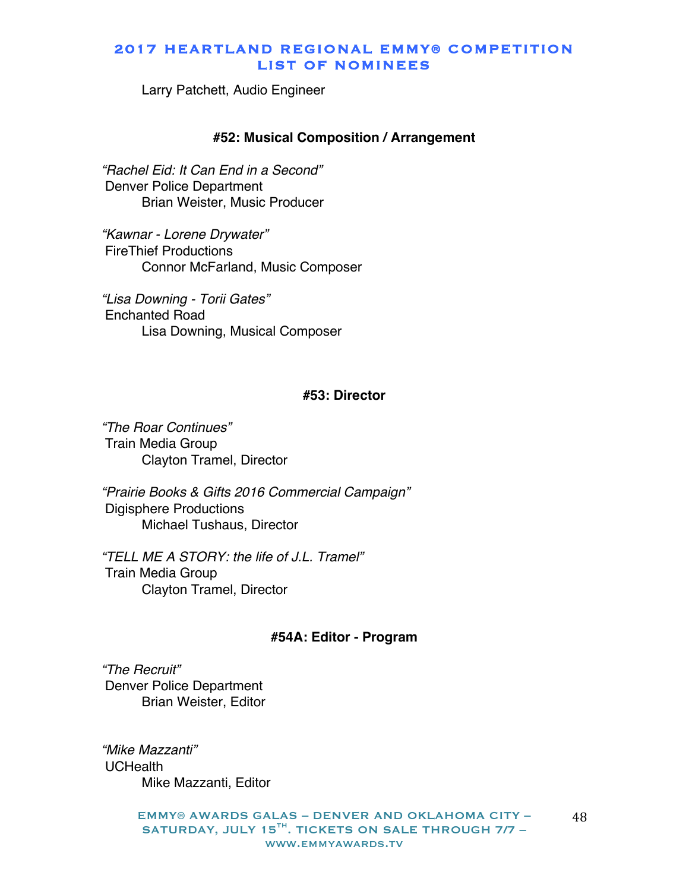Larry Patchett, Audio Engineer

#### **#52: Musical Composition / Arrangement**

*"Rachel Eid: It Can End in a Second"* Denver Police Department Brian Weister, Music Producer

*"Kawnar - Lorene Drywater"* FireThief Productions Connor McFarland, Music Composer

*"Lisa Downing - Torii Gates"* Enchanted Road Lisa Downing, Musical Composer

#### **#53: Director**

*"The Roar Continues"* Train Media Group Clayton Tramel, Director

*"Prairie Books & Gifts 2016 Commercial Campaign"* Digisphere Productions Michael Tushaus, Director

*"TELL ME A STORY: the life of J.L. Tramel"* Train Media Group Clayton Tramel, Director

#### **#54A: Editor - Program**

*"The Recruit"* Denver Police Department Brian Weister, Editor

*"Mike Mazzanti"* UCHealth Mike Mazzanti, Editor

> EMMY® AWARDS GALAS – DENVER AND OKLAHOMA CITY – SATURDAY, JULY 15<sup>TH</sup>. TICKETS ON SALE THROUGH 7/7 www.emmyawards.tv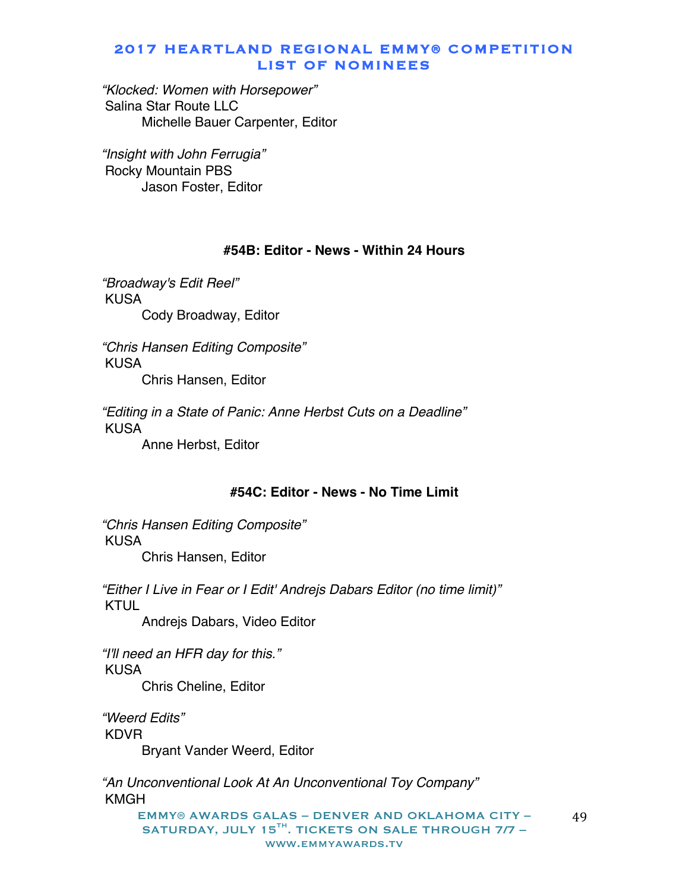*"Klocked: Women with Horsepower"* Salina Star Route LLC Michelle Bauer Carpenter, Editor

*"Insight with John Ferrugia"* Rocky Mountain PBS Jason Foster, Editor

### **#54B: Editor - News - Within 24 Hours**

*"Broadway's Edit Reel"* KUSA Cody Broadway, Editor

*"Chris Hansen Editing Composite"* KUSA Chris Hansen, Editor

*"Editing in a State of Panic: Anne Herbst Cuts on a Deadline"* KUSA Anne Herbst, Editor

#### **#54C: Editor - News - No Time Limit**

*"Chris Hansen Editing Composite"* KUSA Chris Hansen, Editor

*"Either I Live in Fear or I Edit' Andrejs Dabars Editor (no time limit)"* KTUL

Andrejs Dabars, Video Editor

*"I'll need an HFR day for this."* KUSA Chris Cheline, Editor

*"Weerd Edits"* KDVR Bryant Vander Weerd, Editor

*"An Unconventional Look At An Unconventional Toy Company"* KMGH

EMMY® AWARDS GALAS – DENVER AND OKLAHOMA CITY – SATURDAY, JULY 15<sup>TH</sup>. TICKETS ON SALE THROUGH 7/7 www.emmyawards.tv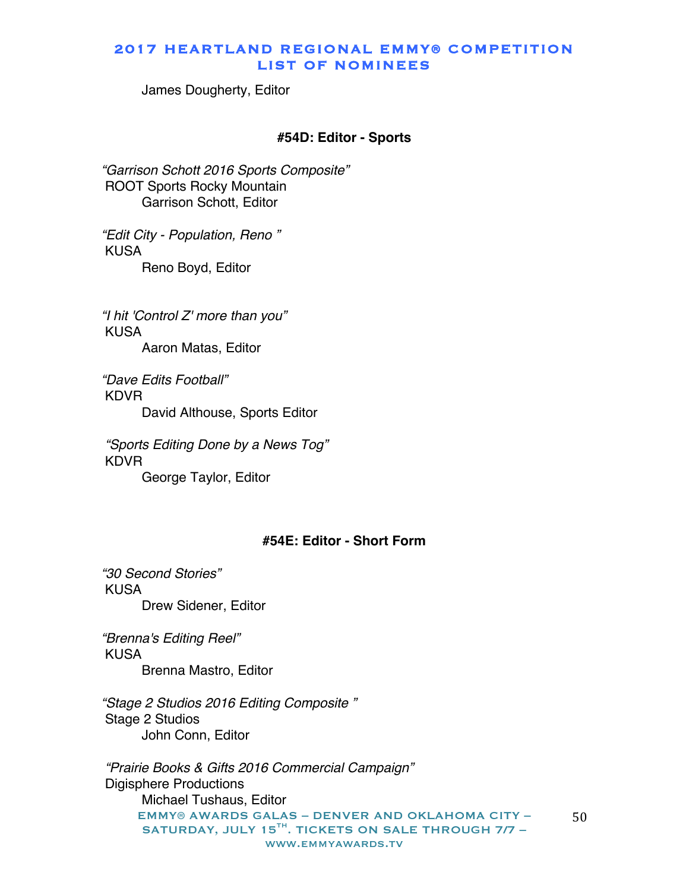James Dougherty, Editor

#### **#54D: Editor - Sports**

*"Garrison Schott 2016 Sports Composite"* ROOT Sports Rocky Mountain Garrison Schott, Editor

*"Edit City - Population, Reno "* KUSA Reno Boyd, Editor

*"I hit 'Control Z' more than you"* KUSA Aaron Matas, Editor

*"Dave Edits Football"* KDVR David Althouse, Sports Editor

*"Sports Editing Done by a News Tog"* KDVR George Taylor, Editor

### **#54E: Editor - Short Form**

*"30 Second Stories"* KUSA Drew Sidener, Editor

*"Brenna's Editing Reel"* KUSA Brenna Mastro, Editor

*"Stage 2 Studios 2016 Editing Composite "* Stage 2 Studios John Conn, Editor

EMMY® AWARDS GALAS – DENVER AND OKLAHOMA CITY – SATURDAY, JULY 15TH. TICKETS ON SALE THROUGH 7/7 www.emmyawards.tv 50 *"Prairie Books & Gifts 2016 Commercial Campaign"* Digisphere Productions Michael Tushaus, Editor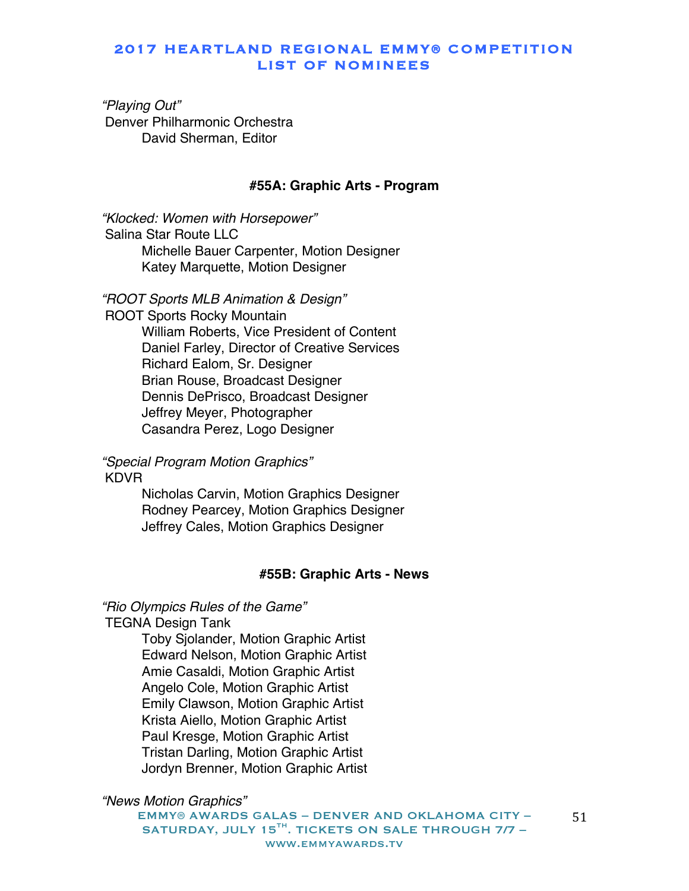*"Playing Out"* Denver Philharmonic Orchestra David Sherman, Editor

#### **#55A: Graphic Arts - Program**

*"Klocked: Women with Horsepower"* Salina Star Route LLC Michelle Bauer Carpenter, Motion Designer Katey Marquette, Motion Designer

*"ROOT Sports MLB Animation & Design"*

ROOT Sports Rocky Mountain William Roberts, Vice President of Content Daniel Farley, Director of Creative Services Richard Ealom, Sr. Designer Brian Rouse, Broadcast Designer Dennis DePrisco, Broadcast Designer Jeffrey Meyer, Photographer Casandra Perez, Logo Designer

*"Special Program Motion Graphics"* KDVR

> Nicholas Carvin, Motion Graphics Designer Rodney Pearcey, Motion Graphics Designer Jeffrey Cales, Motion Graphics Designer

#### **#55B: Graphic Arts - News**

*"Rio Olympics Rules of the Game"*

TEGNA Design Tank

Toby Sjolander, Motion Graphic Artist Edward Nelson, Motion Graphic Artist Amie Casaldi, Motion Graphic Artist Angelo Cole, Motion Graphic Artist Emily Clawson, Motion Graphic Artist Krista Aiello, Motion Graphic Artist Paul Kresge, Motion Graphic Artist Tristan Darling, Motion Graphic Artist Jordyn Brenner, Motion Graphic Artist

*"News Motion Graphics"*

EMMY® AWARDS GALAS – DENVER AND OKLAHOMA CITY – SATURDAY, JULY 15 $^{TH}$ . TICKETS ON SALE THROUGH 7/7 www.emmyawards.tv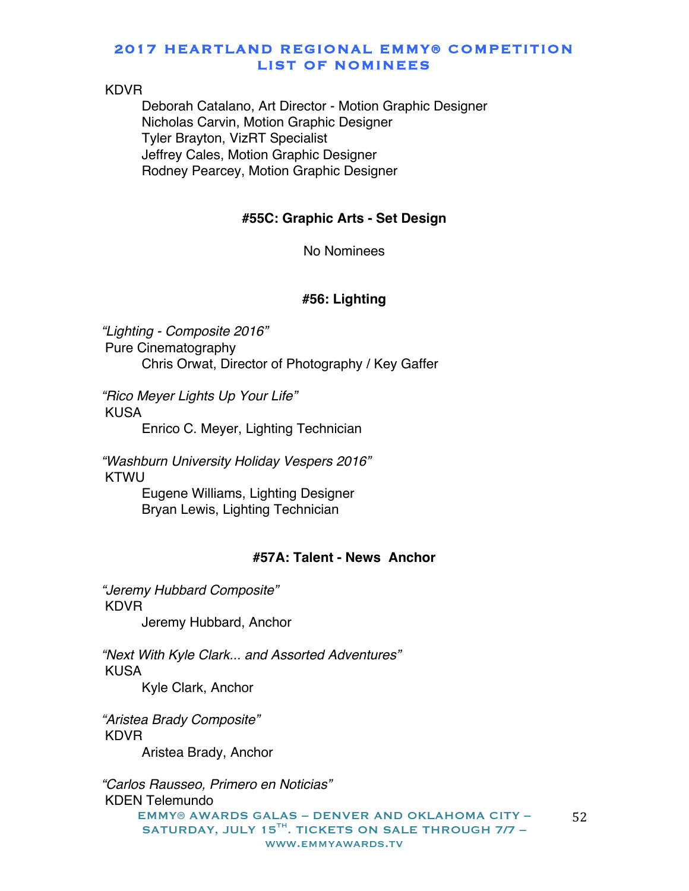#### KDVR

Deborah Catalano, Art Director - Motion Graphic Designer Nicholas Carvin, Motion Graphic Designer Tyler Brayton, VizRT Specialist Jeffrey Cales, Motion Graphic Designer Rodney Pearcey, Motion Graphic Designer

#### **#55C: Graphic Arts - Set Design**

No Nominees

#### **#56: Lighting**

*"Lighting - Composite 2016"* Pure Cinematography Chris Orwat, Director of Photography / Key Gaffer

*"Rico Meyer Lights Up Your Life"* KUSA

Enrico C. Meyer, Lighting Technician

*"Washburn University Holiday Vespers 2016"* KTWU

> Eugene Williams, Lighting Designer Bryan Lewis, Lighting Technician

# **#57A: Talent - News Anchor**

*"Jeremy Hubbard Composite"* KDVR Jeremy Hubbard, Anchor

*"Next With Kyle Clark... and Assorted Adventures"* KUSA Kyle Clark, Anchor

*"Aristea Brady Composite"* KDVR Aristea Brady, Anchor

EMMY® AWARDS GALAS – DENVER AND OKLAHOMA CITY – SATURDAY, JULY 15 $^{TH}$ . TICKETS ON SALE THROUGH 7/7 www.emmyawards.tv 52 *"Carlos Rausseo, Primero en Noticias"* KDEN Telemundo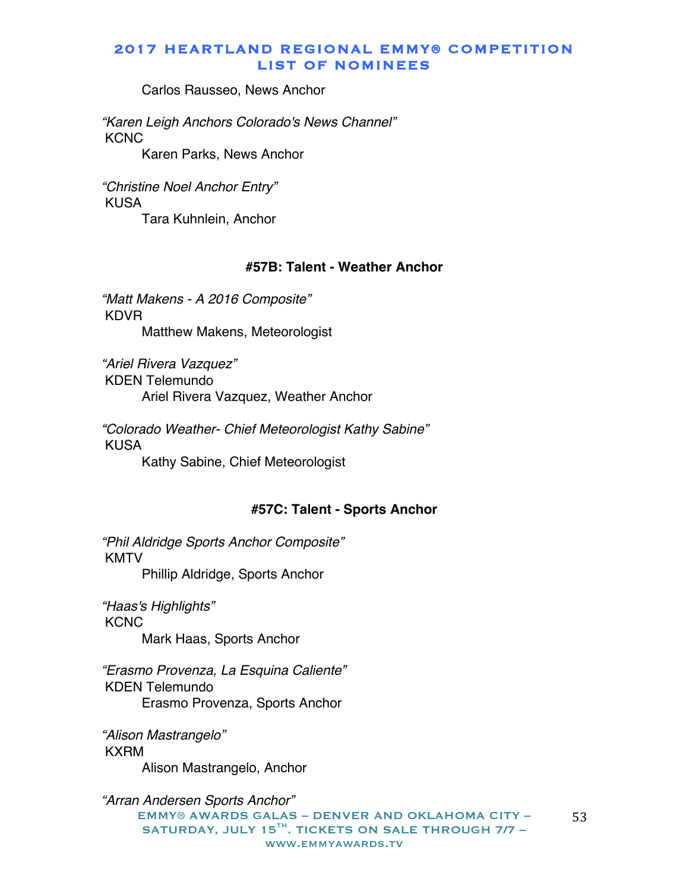Carlos Rausseo, News Anchor

*"Karen Leigh Anchors Colorado's News Channel"* **KCNC** 

Karen Parks, News Anchor

*"Christine Noel Anchor Entry"* KUSA

Tara Kuhnlein, Anchor

# **#57B: Talent - Weather Anchor**

*"Matt Makens - A 2016 Composite"* KDVR Matthew Makens, Meteorologist

*"Ariel Rivera Vazquez"* KDEN Telemundo Ariel Rivera Vazquez, Weather Anchor

*"Colorado Weather- Chief Meteorologist Kathy Sabine"* **KUSA** Kathy Sabine, Chief Meteorologist

#### **#57C: Talent - Sports Anchor**

*"Phil Aldridge Sports Anchor Composite"* KMTV Phillip Aldridge, Sports Anchor

*"Haas's Highlights"* **KCNC** Mark Haas, Sports Anchor

*"Erasmo Provenza, La Esquina Caliente"* KDEN Telemundo Erasmo Provenza, Sports Anchor

*"Alison Mastrangelo"* KXRM

Alison Mastrangelo, Anchor

EMMY® AWARDS GALAS – DENVER AND OKLAHOMA CITY – SATURDAY, JULY 15 $^{TH}$ . TICKETS ON SALE THROUGH 7/7 www.emmyawards.tv *"Arran Andersen Sports Anchor"*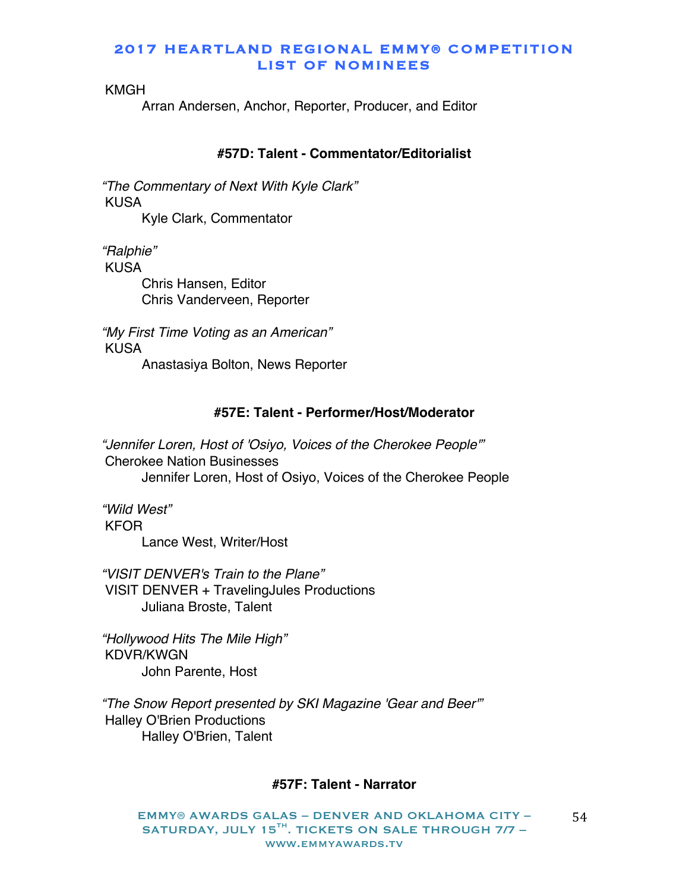KMGH

Arran Andersen, Anchor, Reporter, Producer, and Editor

# **#57D: Talent - Commentator/Editorialist**

*"The Commentary of Next With Kyle Clark"* KUSA Kyle Clark, Commentator

*"Ralphie"* KUSA Chris Hansen, Editor Chris Vanderveen, Reporter

*"My First Time Voting as an American"* KUSA Anastasiya Bolton, News Reporter

#### **#57E: Talent - Performer/Host/Moderator**

*"Jennifer Loren, Host of 'Osiyo, Voices of the Cherokee People'"* Cherokee Nation Businesses Jennifer Loren, Host of Osiyo, Voices of the Cherokee People

*"Wild West"* KFOR Lance West, Writer/Host

*"VISIT DENVER's Train to the Plane"* VISIT DENVER + TravelingJules Productions Juliana Broste, Talent

*"Hollywood Hits The Mile High"* KDVR/KWGN John Parente, Host

*"The Snow Report presented by SKI Magazine 'Gear and Beer'"* Halley O'Brien Productions Halley O'Brien, Talent

#### **#57F: Talent - Narrator**

EMMY® AWARDS GALAS – DENVER AND OKLAHOMA CITY – SATURDAY, JULY 15<sup>TH</sup>. TICKETS ON SALE THROUGH 7/7 www.emmyawards.tv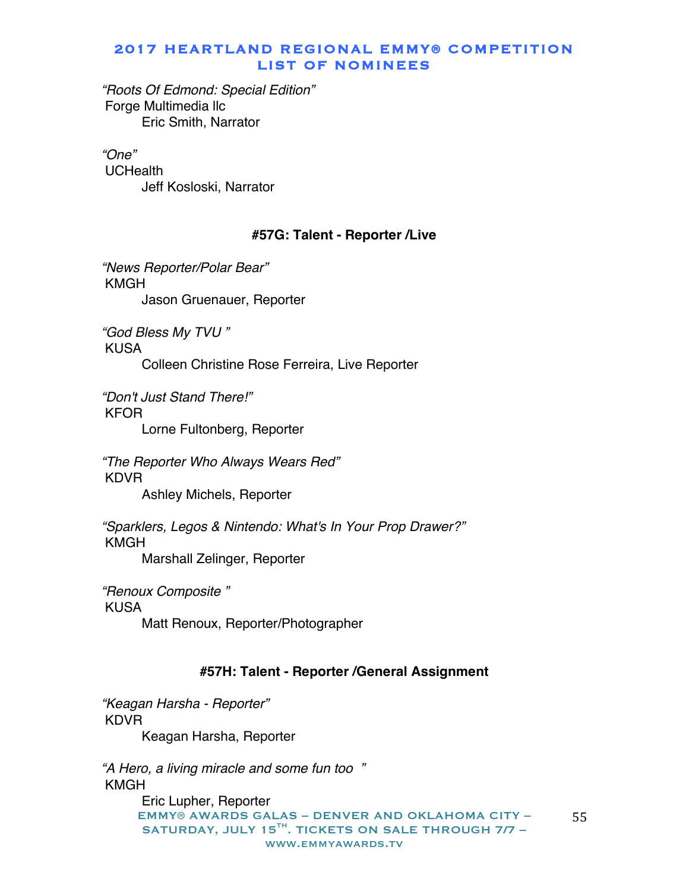*"Roots Of Edmond: Special Edition"* Forge Multimedia llc Eric Smith, Narrator

*"One"* **UCHealth** Jeff Kosloski, Narrator

### **#57G: Talent - Reporter /Live**

*"News Reporter/Polar Bear"* KMGH Jason Gruenauer, Reporter

*"God Bless My TVU "* KUSA Colleen Christine Rose Ferreira, Live Reporter

*"Don't Just Stand There!"* KFOR

Lorne Fultonberg, Reporter

*"The Reporter Who Always Wears Red"* KDVR Ashley Michels, Reporter

*"Sparklers, Legos & Nintendo: What's In Your Prop Drawer?"* KMGH Marshall Zelinger, Reporter

*"Renoux Composite "* KUSA Matt Renoux, Reporter/Photographer

# **#57H: Talent - Reporter /General Assignment**

*"Keagan Harsha - Reporter"* KDVR Keagan Harsha, Reporter

EMMY® AWARDS GALAS – DENVER AND OKLAHOMA CITY – SATURDAY, JULY 15 $^{TH}$ . TICKETS ON SALE THROUGH 7/7 www.emmyawards.tv 55 *"A Hero, a living miracle and some fun too "* KMGH Eric Lupher, Reporter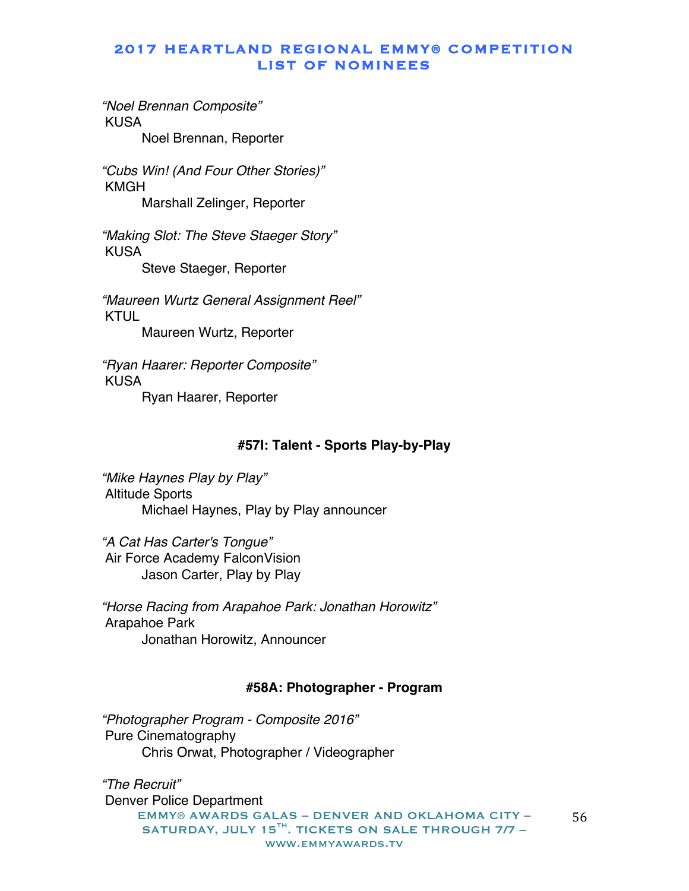*"Noel Brennan Composite"* KUSA

Noel Brennan, Reporter

*"Cubs Win! (And Four Other Stories)"* KMGH

Marshall Zelinger, Reporter

*"Making Slot: The Steve Staeger Story"* KUSA

Steve Staeger, Reporter

*"Maureen Wurtz General Assignment Reel"* KTUL Maureen Wurtz, Reporter

*"Ryan Haarer: Reporter Composite"* KUSA Ryan Haarer, Reporter

### **#57I: Talent - Sports Play-by-Play**

*"Mike Haynes Play by Play"* Altitude Sports Michael Haynes, Play by Play announcer

*"A Cat Has Carter's Tongue"* Air Force Academy FalconVision Jason Carter, Play by Play

*"Horse Racing from Arapahoe Park: Jonathan Horowitz"* Arapahoe Park Jonathan Horowitz, Announcer

#### **#58A: Photographer - Program**

*"Photographer Program - Composite 2016"* Pure Cinematography Chris Orwat, Photographer / Videographer

EMMY® AWARDS GALAS – DENVER AND OKLAHOMA CITY – SATURDAY, JULY 15 $^{TH}$ . TICKETS ON SALE THROUGH 7/7 www.emmyawards.tv 56 *"The Recruit"* Denver Police Department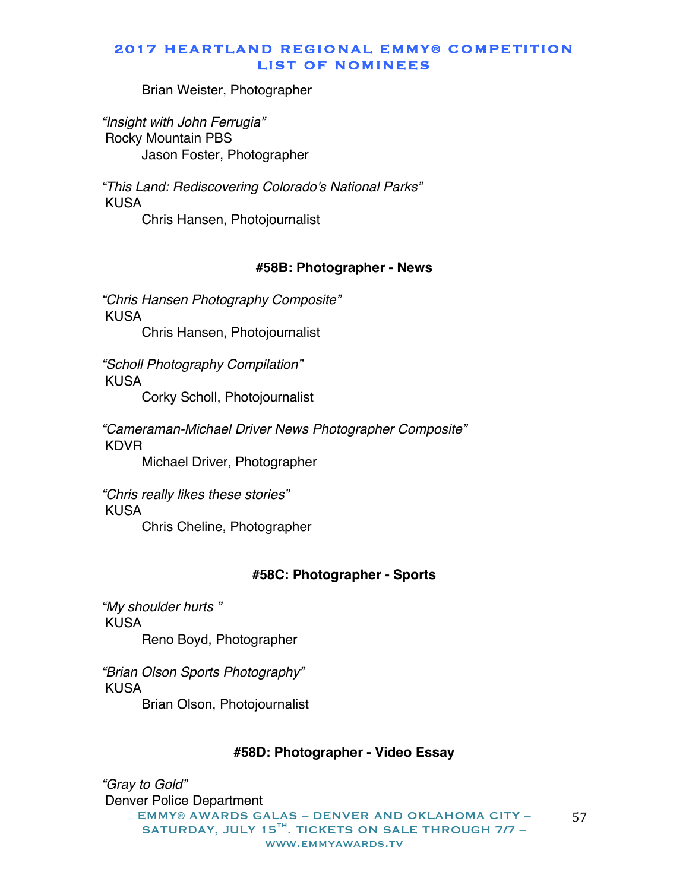Brian Weister, Photographer

*"Insight with John Ferrugia"* Rocky Mountain PBS Jason Foster, Photographer

*"This Land: Rediscovering Colorado's National Parks"* KUSA Chris Hansen, Photojournalist

#### **#58B: Photographer - News**

*"Chris Hansen Photography Composite"* KUSA Chris Hansen, Photojournalist

*"Scholl Photography Compilation"* KUSA

Corky Scholl, Photojournalist

*"Cameraman-Michael Driver News Photographer Composite"* KDVR

Michael Driver, Photographer

*"Chris really likes these stories"* KUSA Chris Cheline, Photographer

#### **#58C: Photographer - Sports**

*"My shoulder hurts "* KUSA Reno Boyd, Photographer

*"Brian Olson Sports Photography"* KUSA Brian Olson, Photojournalist

#### **#58D: Photographer - Video Essay**

EMMY® AWARDS GALAS – DENVER AND OKLAHOMA CITY – SATURDAY, JULY 15TH. TICKETS ON SALE THROUGH 7/7 www.emmyawards.tv 57 *"Gray to Gold"* Denver Police Department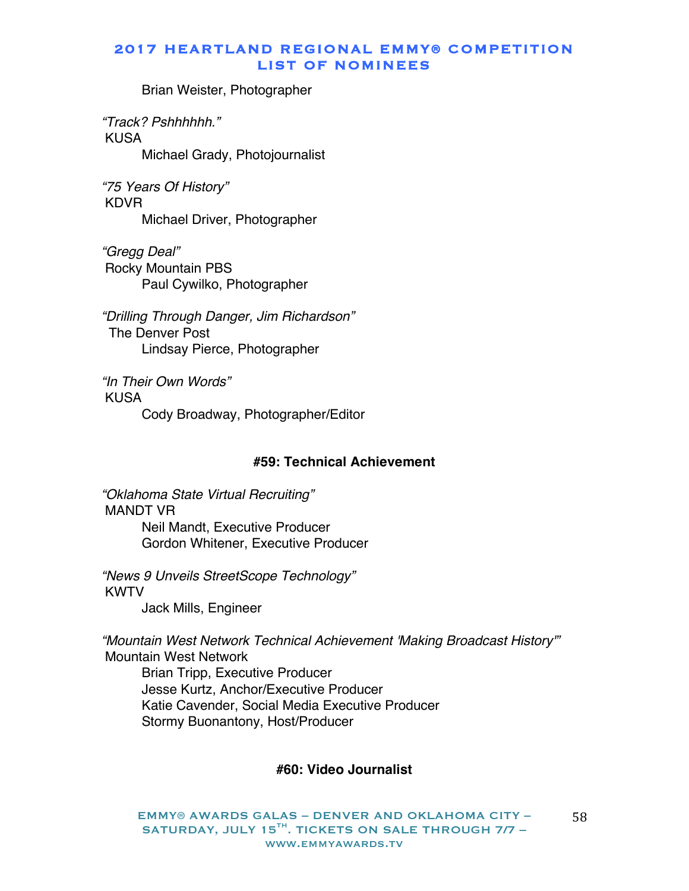Brian Weister, Photographer

*"Track? Pshhhhhh."* KUSA Michael Grady, Photojournalist

*"75 Years Of History"* KDVR Michael Driver, Photographer

*"Gregg Deal"* Rocky Mountain PBS Paul Cywilko, Photographer

*"Drilling Through Danger, Jim Richardson"* The Denver Post Lindsay Pierce, Photographer

*"In Their Own Words"* KUSA Cody Broadway, Photographer/Editor

### **#59: Technical Achievement**

*"Oklahoma State Virtual Recruiting"* MANDT VR Neil Mandt, Executive Producer Gordon Whitener, Executive Producer

*"News 9 Unveils StreetScope Technology"* KWTV Jack Mills, Engineer

*"Mountain West Network Technical Achievement 'Making Broadcast History'"* Mountain West Network Brian Tripp, Executive Producer Jesse Kurtz, Anchor/Executive Producer Katie Cavender, Social Media Executive Producer Stormy Buonantony, Host/Producer

### **#60: Video Journalist**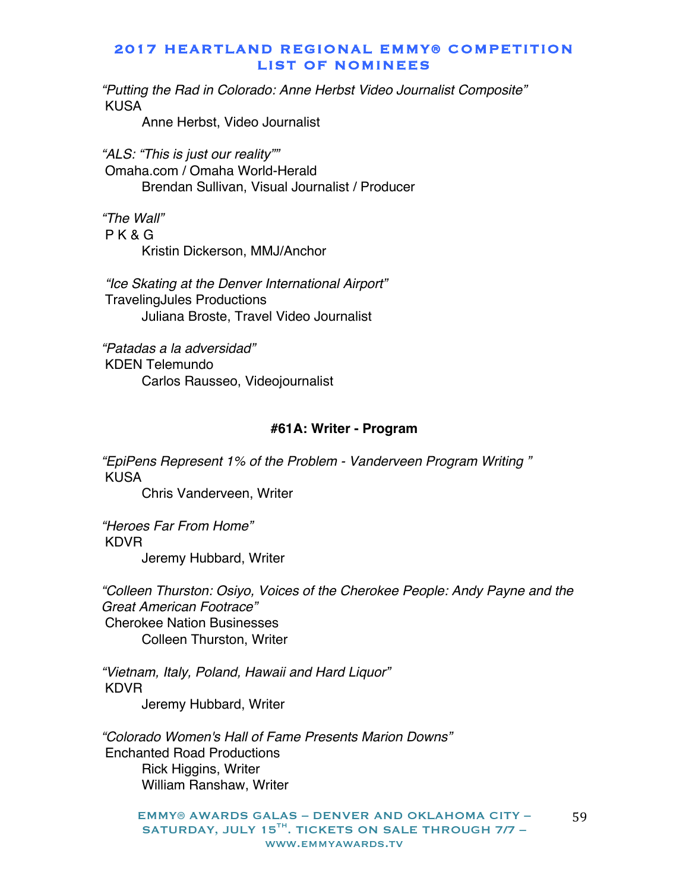*"Putting the Rad in Colorado: Anne Herbst Video Journalist Composite"* KUSA

Anne Herbst, Video Journalist

*"ALS: "This is just our reality""* Omaha.com / Omaha World-Herald Brendan Sullivan, Visual Journalist / Producer

*"The Wall"* P K & G Kristin Dickerson, MMJ/Anchor

*"Ice Skating at the Denver International Airport"* TravelingJules Productions Juliana Broste, Travel Video Journalist

*"Patadas a la adversidad"* KDEN Telemundo Carlos Rausseo, Videojournalist

#### **#61A: Writer - Program**

*"EpiPens Represent 1% of the Problem - Vanderveen Program Writing "* KUSA

Chris Vanderveen, Writer

*"Heroes Far From Home"* KDVR Jeremy Hubbard, Writer

*"Colleen Thurston: Osiyo, Voices of the Cherokee People: Andy Payne and the Great American Footrace"* Cherokee Nation Businesses Colleen Thurston, Writer

*"Vietnam, Italy, Poland, Hawaii and Hard Liquor"* KDVR Jeremy Hubbard, Writer

*"Colorado Women's Hall of Fame Presents Marion Downs"* Enchanted Road Productions Rick Higgins, Writer William Ranshaw, Writer

EMMY® AWARDS GALAS – DENVER AND OKLAHOMA CITY – SATURDAY, JULY 15 $^{TH}$ . TICKETS ON SALE THROUGH 7/7 www.emmyawards.tv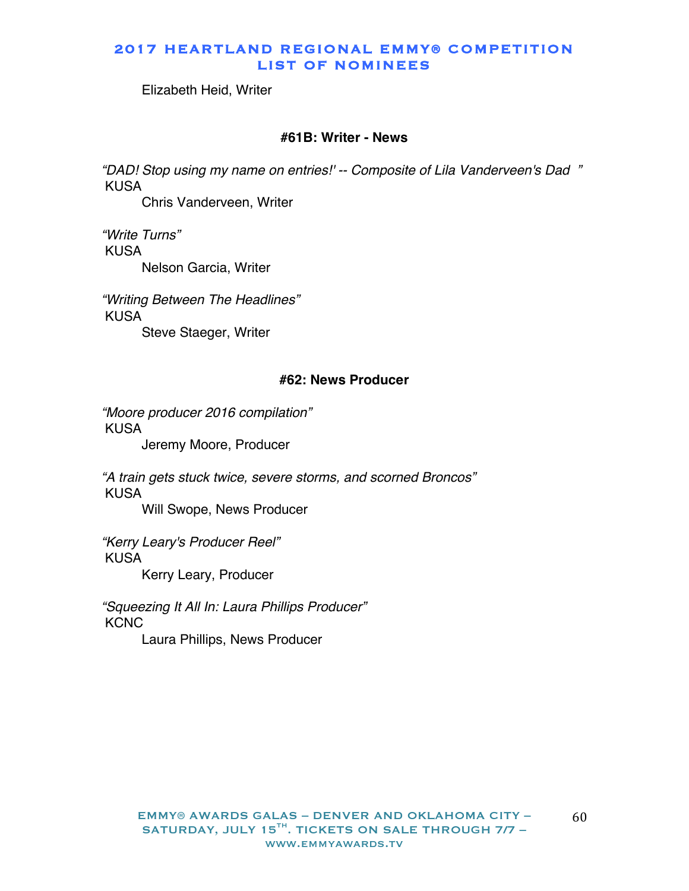Elizabeth Heid, Writer

#### **#61B: Writer - News**

*"DAD! Stop using my name on entries!' -- Composite of Lila Vanderveen's Dad "* KUSA

Chris Vanderveen, Writer

*"Write Turns"* KUSA Nelson Garcia, Writer

*"Writing Between The Headlines"* KUSA Steve Staeger, Writer

#### **#62: News Producer**

*"Moore producer 2016 compilation"* KUSA

Jeremy Moore, Producer

*"A train gets stuck twice, severe storms, and scorned Broncos"* KUSA

Will Swope, News Producer

*"Kerry Leary's Producer Reel"* KUSA Kerry Leary, Producer

*"Squeezing It All In: Laura Phillips Producer"* **KCNC** 

Laura Phillips, News Producer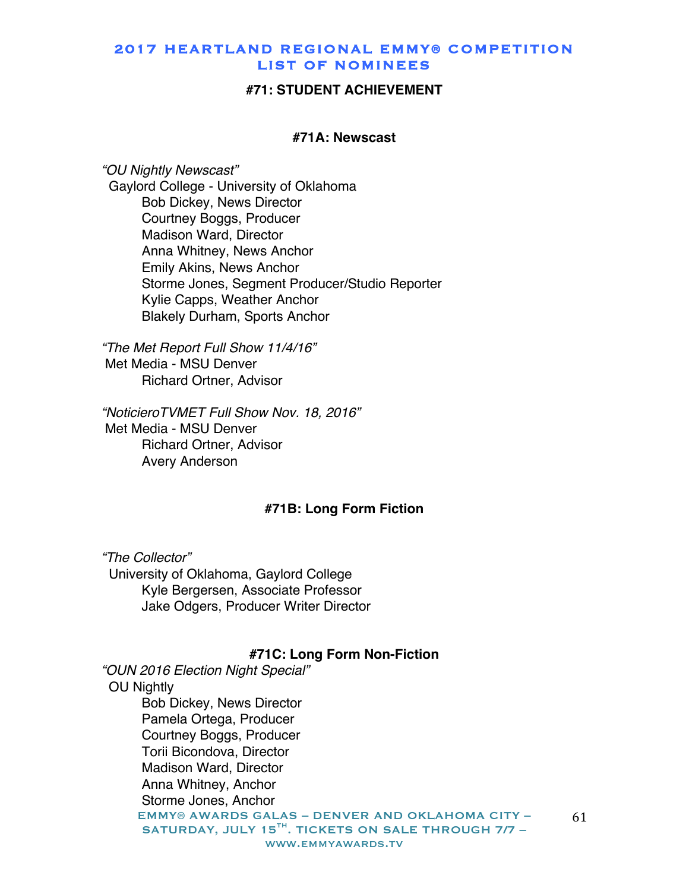#### **#71: STUDENT ACHIEVEMENT**

#### **#71A: Newscast**

*"OU Nightly Newscast"* Gaylord College - University of Oklahoma Bob Dickey, News Director Courtney Boggs, Producer Madison Ward, Director Anna Whitney, News Anchor Emily Akins, News Anchor Storme Jones, Segment Producer/Studio Reporter Kylie Capps, Weather Anchor Blakely Durham, Sports Anchor

*"The Met Report Full Show 11/4/16"* Met Media - MSU Denver Richard Ortner, Advisor

*"NoticieroTVMET Full Show Nov. 18, 2016"* Met Media - MSU Denver Richard Ortner, Advisor Avery Anderson

#### **#71B: Long Form Fiction**

*"The Collector"* University of Oklahoma, Gaylord College Kyle Bergersen, Associate Professor Jake Odgers, Producer Writer Director

#### **#71C: Long Form Non-Fiction**

EMMY® AWARDS GALAS – DENVER AND OKLAHOMA CITY – SATURDAY, JULY 15 $^{TH}$ . TICKETS ON SALE THROUGH 7/7 www.emmyawards.tv *"OUN 2016 Election Night Special"* OU Nightly Bob Dickey, News Director Pamela Ortega, Producer Courtney Boggs, Producer Torii Bicondova, Director Madison Ward, Director Anna Whitney, Anchor Storme Jones, Anchor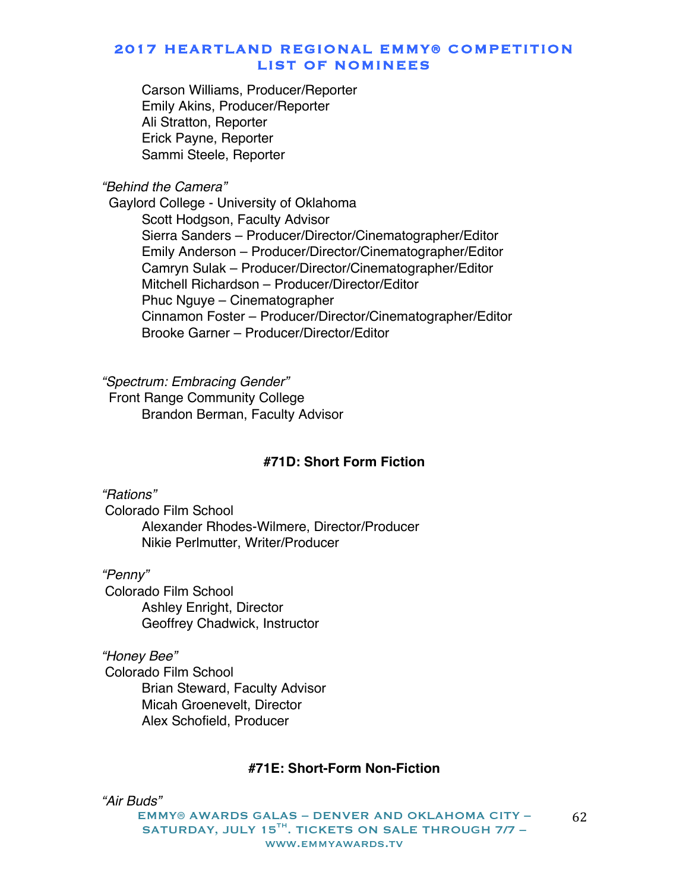Carson Williams, Producer/Reporter Emily Akins, Producer/Reporter Ali Stratton, Reporter Erick Payne, Reporter Sammi Steele, Reporter

*"Behind the Camera"*

 Gaylord College - University of Oklahoma Scott Hodgson, Faculty Advisor Sierra Sanders – Producer/Director/Cinematographer/Editor Emily Anderson – Producer/Director/Cinematographer/Editor Camryn Sulak – Producer/Director/Cinematographer/Editor Mitchell Richardson – Producer/Director/Editor Phuc Nguye – Cinematographer Cinnamon Foster – Producer/Director/Cinematographer/Editor Brooke Garner – Producer/Director/Editor

*"Spectrum: Embracing Gender"* Front Range Community College Brandon Berman, Faculty Advisor

#### **#71D: Short Form Fiction**

*"Rations"* Colorado Film School Alexander Rhodes-Wilmere, Director/Producer Nikie Perlmutter, Writer/Producer

*"Penny"* Colorado Film School Ashley Enright, Director Geoffrey Chadwick, Instructor

*"Honey Bee"* Colorado Film School Brian Steward, Faculty Advisor Micah Groenevelt, Director Alex Schofield, Producer

# **#71E: Short-Form Non-Fiction**

*"Air Buds"*

EMMY® AWARDS GALAS – DENVER AND OKLAHOMA CITY – SATURDAY, JULY 15 $^{TH}$ . TICKETS ON SALE THROUGH 7/7 www.emmyawards.tv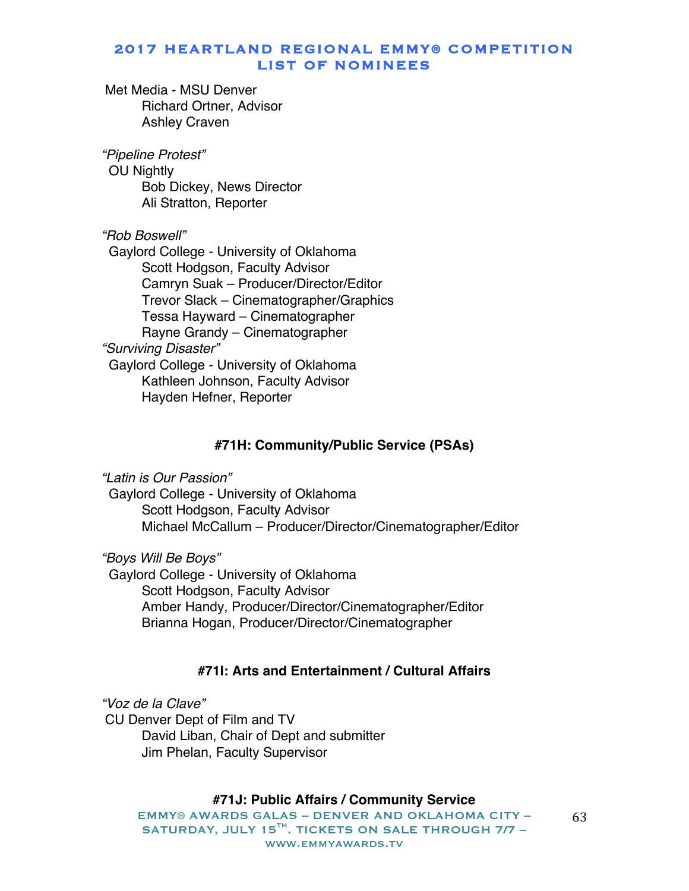Met Media - MSU Denver Richard Ortner, Advisor Ashley Craven

*"Pipeline Protest"* OU Nightly Bob Dickey, News Director Ali Stratton, Reporter

*"Rob Boswell"* Gaylord College - University of Oklahoma Scott Hodgson, Faculty Advisor Camryn Suak – Producer/Director/Editor Trevor Slack – Cinematographer/Graphics Tessa Hayward – Cinematographer Rayne Grandy – Cinematographer *"Surviving Disaster"* Gaylord College - University of Oklahoma Kathleen Johnson, Faculty Advisor Hayden Hefner, Reporter

### **#71H: Community/Public Service (PSAs)**

*"Latin is Our Passion"* Gaylord College - University of Oklahoma Scott Hodgson, Faculty Advisor Michael McCallum – Producer/Director/Cinematographer/Editor

*"Boys Will Be Boys"* Gaylord College - University of Oklahoma Scott Hodgson, Faculty Advisor Amber Handy, Producer/Director/Cinematographer/Editor Brianna Hogan, Producer/Director/Cinematographer

# **#71I: Arts and Entertainment / Cultural Affairs**

*"Voz de la Clave"*

CU Denver Dept of Film and TV David Liban, Chair of Dept and submitter Jim Phelan, Faculty Supervisor

#### **#71J: Public Affairs / Community Service**

EMMY® AWARDS GALAS – DENVER AND OKLAHOMA CITY – SATURDAY, JULY 15 $^{TH}$ . TICKETS ON SALE THROUGH 7/7 www.emmyawards.tv